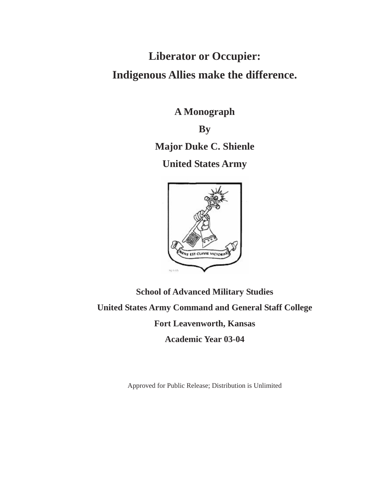# **Liberator or Occupier: Indigenous Allies make the difference.**

**A Monograph** 

**By** 

**Major Duke C. Shienle** 

**United States Army** 



**School of Advanced Military Studies United States Army Command and General Staff College Fort Leavenworth, Kansas Academic Year 03-04** 

Approved for Public Release; Distribution is Unlimited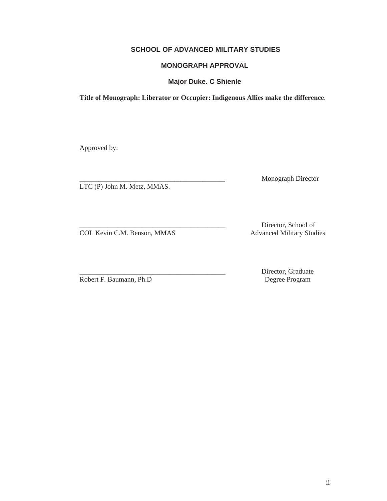# **SCHOOL OF ADVANCED MILITARY STUDIES**

## **MONOGRAPH APPROVAL**

**Major Duke. C Shienle** 

**Title of Monograph: Liberator or Occupier: Indigenous Allies make the difference**.

Approved by:

LTC (P) John M. Metz, MMAS.

\_\_\_\_\_\_\_\_\_\_\_\_\_\_\_\_\_\_\_\_\_\_\_\_\_\_\_\_\_\_\_\_\_\_\_\_\_\_\_\_\_\_\_\_\_\_ Monograph Director

COL Kevin C.M. Benson, MMAS Advanced Military Studies

Director, School of

Robert F. Baumann, Ph.D

Director, Graduate<br>Degree Program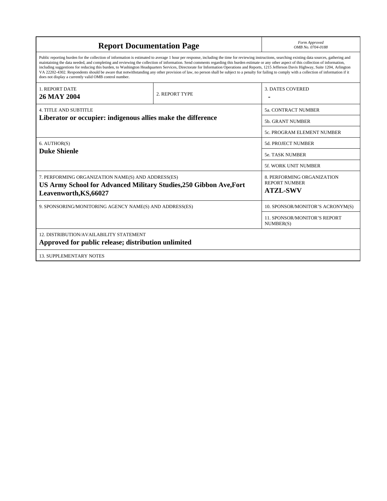| <b>Report Documentation Page</b>                                                                                                                                                                                                                                                                                                                                                                                                                                                                                                                                                                                                                                                                                                                                                                                                                                   | Form Approved<br>OMB No. 0704-0188 |                                                                       |  |  |  |
|--------------------------------------------------------------------------------------------------------------------------------------------------------------------------------------------------------------------------------------------------------------------------------------------------------------------------------------------------------------------------------------------------------------------------------------------------------------------------------------------------------------------------------------------------------------------------------------------------------------------------------------------------------------------------------------------------------------------------------------------------------------------------------------------------------------------------------------------------------------------|------------------------------------|-----------------------------------------------------------------------|--|--|--|
| Public reporting burden for the collection of information is estimated to average 1 hour per response, including the time for reviewing instructions, searching existing data sources, gathering and<br>maintaining the data needed, and completing and reviewing the collection of information. Send comments regarding this burden estimate or any other aspect of this collection of information,<br>including suggestions for reducing this burden, to Washington Headquarters Services, Directorate for Information Operations and Reports, 1215 Jefferson Davis Highway, Suite 1204, Arlington<br>VA 22202-4302. Respondents should be aware that notwithstanding any other provision of law, no person shall be subject to a penalty for failing to comply with a collection of information if it<br>does not display a currently valid OMB control number. |                                    |                                                                       |  |  |  |
| <b>1. REPORT DATE</b><br><b>26 MAY 2004</b>                                                                                                                                                                                                                                                                                                                                                                                                                                                                                                                                                                                                                                                                                                                                                                                                                        | 2. REPORT TYPE                     | <b>3. DATES COVERED</b>                                               |  |  |  |
| <b>4. TITLE AND SUBTITLE</b><br>Liberator or occupier: indigenous allies make the difference                                                                                                                                                                                                                                                                                                                                                                                                                                                                                                                                                                                                                                                                                                                                                                       |                                    | <b>5a. CONTRACT NUMBER</b>                                            |  |  |  |
|                                                                                                                                                                                                                                                                                                                                                                                                                                                                                                                                                                                                                                                                                                                                                                                                                                                                    |                                    | 5b. GRANT NUMBER                                                      |  |  |  |
|                                                                                                                                                                                                                                                                                                                                                                                                                                                                                                                                                                                                                                                                                                                                                                                                                                                                    |                                    | 5c. PROGRAM ELEMENT NUMBER                                            |  |  |  |
| 6. AUTHOR(S)<br><b>Duke Shienle</b>                                                                                                                                                                                                                                                                                                                                                                                                                                                                                                                                                                                                                                                                                                                                                                                                                                |                                    | <b>5d. PROJECT NUMBER</b>                                             |  |  |  |
|                                                                                                                                                                                                                                                                                                                                                                                                                                                                                                                                                                                                                                                                                                                                                                                                                                                                    |                                    | <b>5e. TASK NUMBER</b>                                                |  |  |  |
|                                                                                                                                                                                                                                                                                                                                                                                                                                                                                                                                                                                                                                                                                                                                                                                                                                                                    | 5f. WORK UNIT NUMBER               |                                                                       |  |  |  |
| 7. PERFORMING ORGANIZATION NAME(S) AND ADDRESS(ES)<br>US Army School for Advanced Military Studies, 250 Gibbon Ave, Fort<br>Leavenworth, KS, 66027                                                                                                                                                                                                                                                                                                                                                                                                                                                                                                                                                                                                                                                                                                                 |                                    | 8. PERFORMING ORGANIZATION<br><b>REPORT NUMBER</b><br><b>ATZL-SWV</b> |  |  |  |
| 9. SPONSORING/MONITORING AGENCY NAME(S) AND ADDRESS(ES)                                                                                                                                                                                                                                                                                                                                                                                                                                                                                                                                                                                                                                                                                                                                                                                                            |                                    | 10. SPONSOR/MONITOR'S ACRONYM(S)                                      |  |  |  |
|                                                                                                                                                                                                                                                                                                                                                                                                                                                                                                                                                                                                                                                                                                                                                                                                                                                                    |                                    | <b>11. SPONSOR/MONITOR'S REPORT</b><br>NUMBER(S)                      |  |  |  |
| <b>12. DISTRIBUTION/AVAILABILITY STATEMENT</b><br>Approved for public release; distribution unlimited                                                                                                                                                                                                                                                                                                                                                                                                                                                                                                                                                                                                                                                                                                                                                              |                                    |                                                                       |  |  |  |
| <b>13. SUPPLEMENTARY NOTES</b>                                                                                                                                                                                                                                                                                                                                                                                                                                                                                                                                                                                                                                                                                                                                                                                                                                     |                                    |                                                                       |  |  |  |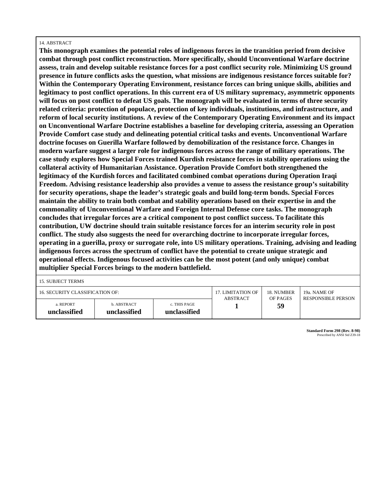#### 14. ABSTRACT

**This monograph examines the potential roles of indigenous forces in the transition period from decisive combat through post conflict reconstruction. More specifically, should Unconventional Warfare doctrine assess, train and develop suitable resistance forces for a post conflict security role. Minimizing US ground presence in future conflicts asks the question, what missions are indigenous resistance forces suitable for? Within the Contemporary Operating Environment, resistance forces can bring unique skills, abilities and legitimacy to post conflict operations. In this current era of US military supremacy, asymmetric opponents will focus on post conflict to defeat US goals. The monograph will be evaluated in terms of three security related criteria: protection of populace, protection of key individuals, institutions, and infrastructure, and reform of local security institutions. A review of the Contemporary Operating Environment and its impact on Unconventional Warfare Doctrine establishes a baseline for developing criteria, assessing an Operation Provide Comfort case study and delineating potential critical tasks and events. Unconventional Warfare doctrine focuses on Guerilla Warfare followed by demobilization of the resistance force. Changes in modern warfare suggest a larger role for indigenous forces across the range of military operations. The case study explores how Special Forces trained Kurdish resistance forces in stability operations using the collateral activity of Humanitarian Assistance. Operation Provide Comfort both strengthened the legitimacy of the Kurdish forces and facilitated combined combat operations during Operation Iraqi Freedom. Advising resistance leadership also provides a venue to assess the resistance group's suitability for security operations, shape the leader's strategic goals and build long-term bonds. Special Forces maintain the ability to train both combat and stability operations based on their expertise in and the commonality of Unconventional Warfare and Foreign Internal Defense core tasks. The monograph concludes that irregular forces are a critical component to post conflict success. To facilitate this contribution, UW doctrine should train suitable resistance forces for an interim security role in post conflict. The study also suggests the need for overarching doctrine to incorporate irregular forces, operating in a guerilla, proxy or surrogate role, into US military operations. Training, advising and leading indigenous forces across the spectrum of conflict have the potential to create unique strategic and operational effects. Indigenous focused activities can be the most potent (and only unique) combat multiplier Special Forces brings to the modern battlefield.**

15. SUBJECT TERMS

| 16. SECURITY CLASSIFICATION OF: |                             | 17. LIMITATION OF            | 18. NUMBER | 19a. NAME OF              |  |
|---------------------------------|-----------------------------|------------------------------|------------|---------------------------|--|
|                                 |                             | <b>ABSTRACT</b>              | OF PAGES   | <b>RESPONSIBLE PERSON</b> |  |
| a. REPORT<br>unclassified       | b. ABSTRACT<br>unclassified | c. THIS PAGE<br>unclassified |            | 59                        |  |

**Standard Form 298 (Rev. 8-98)** Prescribed by ANSI Std Z39-18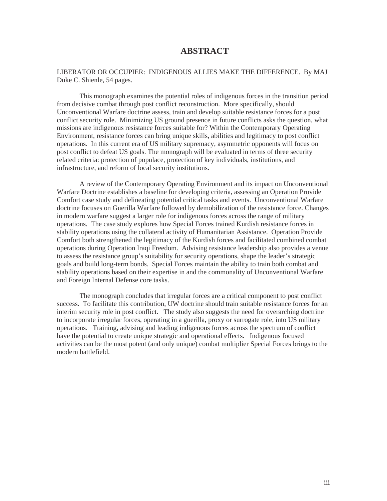# **ABSTRACT**

#### LIBERATOR OR OCCUPIER: INDIGENOUS ALLIES MAKE THE DIFFERENCE. By MAJ Duke C. Shienle, 54 pages.

This monograph examines the potential roles of indigenous forces in the transition period from decisive combat through post conflict reconstruction. More specifically, should Unconventional Warfare doctrine assess, train and develop suitable resistance forces for a post conflict security role. Minimizing US ground presence in future conflicts asks the question, what missions are indigenous resistance forces suitable for? Within the Contemporary Operating Environment, resistance forces can bring unique skills, abilities and legitimacy to post conflict operations. In this current era of US military supremacy, asymmetric opponents will focus on post conflict to defeat US goals. The monograph will be evaluated in terms of three security related criteria: protection of populace, protection of key individuals, institutions, and infrastructure, and reform of local security institutions.

A review of the Contemporary Operating Environment and its impact on Unconventional Warfare Doctrine establishes a baseline for developing criteria, assessing an Operation Provide Comfort case study and delineating potential critical tasks and events. Unconventional Warfare doctrine focuses on Guerilla Warfare followed by demobilization of the resistance force. Changes in modern warfare suggest a larger role for indigenous forces across the range of military operations. The case study explores how Special Forces trained Kurdish resistance forces in stability operations using the collateral activity of Humanitarian Assistance. Operation Provide Comfort both strengthened the legitimacy of the Kurdish forces and facilitated combined combat operations during Operation Iraqi Freedom. Advising resistance leadership also provides a venue to assess the resistance group's suitability for security operations, shape the leader's strategic goals and build long-term bonds. Special Forces maintain the ability to train both combat and stability operations based on their expertise in and the commonality of Unconventional Warfare and Foreign Internal Defense core tasks.

The monograph concludes that irregular forces are a critical component to post conflict success. To facilitate this contribution, UW doctrine should train suitable resistance forces for an interim security role in post conflict. The study also suggests the need for overarching doctrine to incorporate irregular forces, operating in a guerilla, proxy or surrogate role, into US military operations. Training, advising and leading indigenous forces across the spectrum of conflict have the potential to create unique strategic and operational effects. Indigenous focused activities can be the most potent (and only unique) combat multiplier Special Forces brings to the modern battlefield.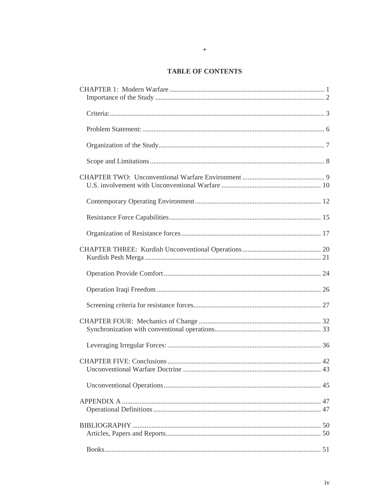# **TABLE OF CONTENTS**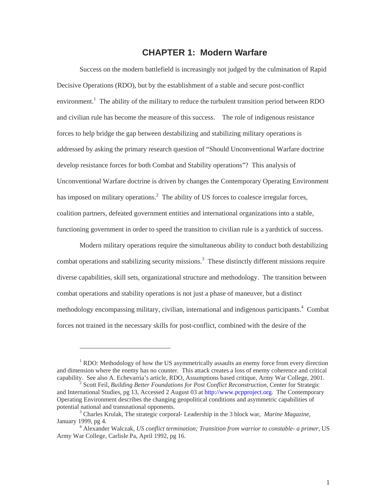# **CHAPTER 1: Modern Warfare**

<span id="page-7-0"></span>Success on the modern battlefield is increasingly not judged by the culmination of Rapid Decisive Operations (RDO), but by the establishment of a stable and secure post-conflict environment.<sup>[1](#page-7-1)</sup> The ability of the military to reduce the turbulent transition period between RDO and civilian rule has become the measure of this success. The role of indigenous resistance forces to help bridge the gap between destabilizing and stabilizing military operations is addressed by asking the primary research question of "Should Unconventional Warfare doctrine develop resistance forces for both Combat and Stability operations"? This analysis of Unconventional Warfare doctrine is driven by changes the Contemporary Operating Environment has imposed on military operations.<sup>[2](#page-7-2)</sup> The ability of US forces to coalesce irregular forces, coalition partners, defeated government entities and international organizations into a stable, functioning government in order to speed the transition to civilian rule is a yardstick of success.

Modern military operations require the simultaneous ability to conduct both destabilizing combat operations and stabilizing security missions.<sup>[3](#page-7-3)</sup> These distinctly different missions require diverse capabilities, skill sets, organizational structure and methodology. The transition between combat operations and stability operations is not just a phase of maneuver, but a distinct methodology encompassing military, civilian, international and indigenous participants.<sup>[4](#page-7-4)</sup> Combat forces not trained in the necessary skills for post-conflict, combined with the desire of the

<span id="page-7-1"></span> $<sup>1</sup>$  RDO: Methodology of how the US asymmetrically assaults an enemy force from every direction</sup> and dimension where the enemy has no counter. This attack creates a loss of enemy coherence and critical capability. See also A. Echevarria's article, RDO, Assumptions based critique, Army War College, 2001. 2

<span id="page-7-2"></span>Scott Feil, *Building Better Foundations for Post Conflict Reconstruction,* Center for Strategic and International Studies, pg 13, Accessed 2 August 03 at [http://www.pcpproject.org.](http://www.pcpproject.org/) The Contemporary Operating Environment describes the changing geopolitical conditions and asymmetric capabilities of potential national and transnational opponents.

<span id="page-7-3"></span>Charles Krulak, The strategic corporal- Leadership in the 3 block war, *Marine Magazine*, January 1999, pg 4.

<span id="page-7-4"></span>Alexander Walczak, *US conflict termination; Transition from warrior to constable- a primer,* US Army War College, Carlisle Pa, April 1992, pg 16.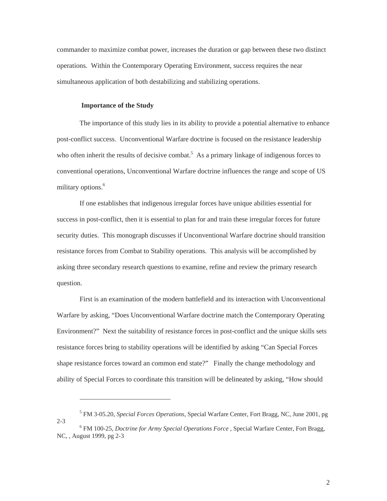<span id="page-8-0"></span>commander to maximize combat power, increases the duration or gap between these two distinct operations. Within the Contemporary Operating Environment, success requires the near simultaneous application of both destabilizing and stabilizing operations.

#### **Importance of the Study**

 $\overline{a}$ 

 $2 - 3$ 

The importance of this study lies in its ability to provide a potential alternative to enhance post-conflict success. Unconventional Warfare doctrine is focused on the resistance leadership who often inherit the results of decisive combat.<sup>[5](#page-8-1)</sup> As a primary linkage of indigenous forces to conventional operations, Unconventional Warfare doctrine influences the range and scope of US military options.<sup>[6](#page-8-2)</sup>

If one establishes that indigenous irregular forces have unique abilities essential for success in post-conflict, then it is essential to plan for and train these irregular forces for future security duties. This monograph discusses if Unconventional Warfare doctrine should transition resistance forces from Combat to Stability operations. This analysis will be accomplished by asking three secondary research questions to examine, refine and review the primary research question.

First is an examination of the modern battlefield and its interaction with Unconventional Warfare by asking, "Does Unconventional Warfare doctrine match the Contemporary Operating Environment?" Next the suitability of resistance forces in post-conflict and the unique skills sets resistance forces bring to stability operations will be identified by asking "Can Special Forces shape resistance forces toward an common end state?" Finally the change methodology and ability of Special Forces to coordinate this transition will be delineated by asking, "How should

<span id="page-8-2"></span><span id="page-8-1"></span><sup>5</sup> FM 3-05.20, *Special Forces Operations*, Special Warfare Center, Fort Bragg, NC, June 2001, pg

FM 100-25, *Doctrine for Army Special Operations Force* , Special Warfare Center, Fort Bragg, NC, , August 1999, pg 2-3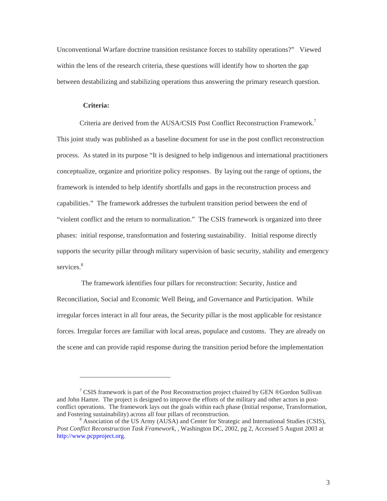<span id="page-9-0"></span>Unconventional Warfare doctrine transition resistance forces to stability operations?" Viewed within the lens of the research criteria, these questions will identify how to shorten the gap between destabilizing and stabilizing operations thus answering the primary research question.

#### **Criteria:**

<span id="page-9-1"></span>-

Criteria are derived from the AUSA/CSIS Post Conflict Reconstruction Framework.<sup>[7](#page-9-1)</sup> This joint study was published as a baseline document for use in the post conflict reconstruction process. As stated in its purpose "It is designed to help indigenous and international practitioners conceptualize, organize and prioritize policy responses. By laying out the range of options, the framework is intended to help identify shortfalls and gaps in the reconstruction process and capabilities." The framework addresses the turbulent transition period between the end of "violent conflict and the return to normalization." The CSIS framework is organized into three phases: initial response, transformation and fostering sustainability. Initial response directly supports the security pillar through military supervision of basic security, stability and emergency services.<sup>[8](#page-9-2)</sup>

 The framework identifies four pillars for reconstruction: Security, Justice and Reconciliation, Social and Economic Well Being, and Governance and Participation. While irregular forces interact in all four areas, the Security pillar is the most applicable for resistance forces. Irregular forces are familiar with local areas, populace and customs. They are already on the scene and can provide rapid response during the transition period before the implementation

<sup>&</sup>lt;sup>7</sup> CSIS framework is part of the Post Reconstruction project chaired by GEN ®Gordon Sullivan and John Hamre. The project is designed to improve the efforts of the military and other actors in postconflict operations. The framework lays out the goals within each phase (Initial response, Transformation, and Fostering sustainability) across all four pillars of reconstruction. <sup>8</sup>

<span id="page-9-2"></span><sup>&</sup>lt;sup>8</sup> Association of the US Army (AUSA) and Center for Strategic and International Studies (CSIS), *Post Conflict Reconstruction Task Framework*, , Washington DC, 2002, pg 2, Accessed 5 August 2003 at [http://www.pcpproject.org](http://www.pcpproject.org/).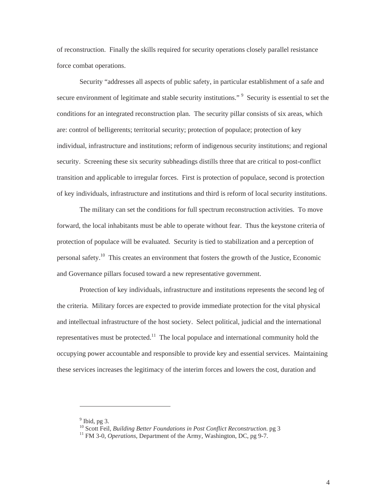of reconstruction. Finally the skills required for security operations closely parallel resistance force combat operations.

Security "addresses all aspects of public safety, in particular establishment of a safe and secure environment of legitimate and stable security institutions."<sup>[9](#page-10-0)</sup> Security is essential to set the conditions for an integrated reconstruction plan. The security pillar consists of six areas, which are: control of belligerents; territorial security; protection of populace; protection of key individual, infrastructure and institutions; reform of indigenous security institutions; and regional security. Screening these six security subheadings distills three that are critical to post-conflict transition and applicable to irregular forces. First is protection of populace, second is protection of key individuals, infrastructure and institutions and third is reform of local security institutions.

The military can set the conditions for full spectrum reconstruction activities. To move forward, the local inhabitants must be able to operate without fear. Thus the keystone criteria of protection of populace will be evaluated. Security is tied to stabilization and a perception of personal safety[.10](#page-10-1) This creates an environment that fosters the growth of the Justice, Economic and Governance pillars focused toward a new representative government.

Protection of key individuals, infrastructure and institutions represents the second leg of the criteria. Military forces are expected to provide immediate protection for the vital physical and intellectual infrastructure of the host society. Select political, judicial and the international representatives must be protected.<sup>11</sup> The local populace and international community hold the occupying power accountable and responsible to provide key and essential services. Maintaining these services increases the legitimacy of the interim forces and lowers the cost, duration and

<span id="page-10-0"></span> $9$  Ibid, pg 3.

<span id="page-10-1"></span><sup>&</sup>lt;sup>10</sup> Scott Feil, *Building Better Foundations in Post Conflict Reconstruction*. pg 3<sup>11</sup> FM 3-0, *Operations*, Department of the Army, Washington, DC, pg 9-7.

<span id="page-10-2"></span>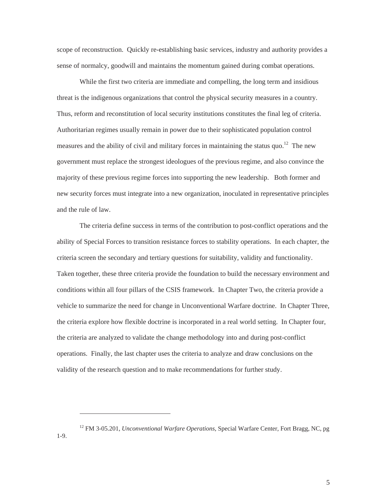scope of reconstruction. Quickly re-establishing basic services, industry and authority provides a sense of normalcy, goodwill and maintains the momentum gained during combat operations.

While the first two criteria are immediate and compelling, the long term and insidious threat is the indigenous organizations that control the physical security measures in a country. Thus, reform and reconstitution of local security institutions constitutes the final leg of criteria. Authoritarian regimes usually remain in power due to their sophisticated population control measures and the ability of civil and military forces in maintaining the status quo.<sup>12</sup> The new government must replace the strongest ideologues of the previous regime, and also convince the majority of these previous regime forces into supporting the new leadership. Both former and new security forces must integrate into a new organization, inoculated in representative principles and the rule of law.

The criteria define success in terms of the contribution to post-conflict operations and the ability of Special Forces to transition resistance forces to stability operations. In each chapter, the criteria screen the secondary and tertiary questions for suitability, validity and functionality. Taken together, these three criteria provide the foundation to build the necessary environment and conditions within all four pillars of the CSIS framework. In Chapter Two, the criteria provide a vehicle to summarize the need for change in Unconventional Warfare doctrine. In Chapter Three, the criteria explore how flexible doctrine is incorporated in a real world setting. In Chapter four, the criteria are analyzed to validate the change methodology into and during post-conflict operations. Finally, the last chapter uses the criteria to analyze and draw conclusions on the validity of the research question and to make recommendations for further study.

<span id="page-11-0"></span>-

1-9.

<sup>&</sup>lt;sup>12</sup> FM 3-05.201, *Unconventional Warfare Operations*, Special Warfare Center, Fort Bragg, NC, pg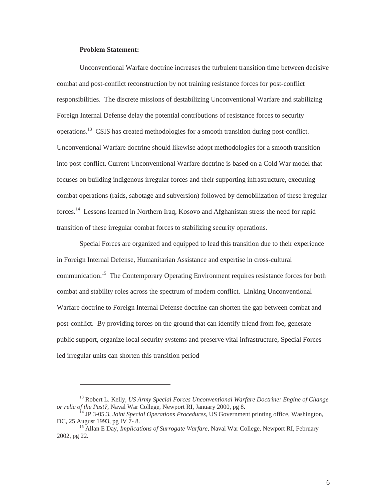#### **Problem Statement:**

<span id="page-12-1"></span>-

<span id="page-12-0"></span>Unconventional Warfare doctrine increases the turbulent transition time between decisive combat and post-conflict reconstruction by not training resistance forces for post-conflict responsibilities. The discrete missions of destabilizing Unconventional Warfare and stabilizing Foreign Internal Defense delay the potential contributions of resistance forces to security operations.[13](#page-12-1) CSIS has created methodologies for a smooth transition during post-conflict. Unconventional Warfare doctrine should likewise adopt methodologies for a smooth transition into post-conflict. Current Unconventional Warfare doctrine is based on a Cold War model that focuses on building indigenous irregular forces and their supporting infrastructure, executing combat operations (raids, sabotage and subversion) followed by demobilization of these irregular forces.[14](#page-12-2) Lessons learned in Northern Iraq, Kosovo and Afghanistan stress the need for rapid transition of these irregular combat forces to stabilizing security operations.

Special Forces are organized and equipped to lead this transition due to their experience in Foreign Internal Defense, Humanitarian Assistance and expertise in cross-cultural communication.<sup>15</sup> The Contemporary Operating Environment requires resistance forces for both combat and stability roles across the spectrum of modern conflict. Linking Unconventional Warfare doctrine to Foreign Internal Defense doctrine can shorten the gap between combat and post-conflict. By providing forces on the ground that can identify friend from foe, generate public support, organize local security systems and preserve vital infrastructure, Special Forces led irregular units can shorten this transition period

<sup>&</sup>lt;sup>13</sup> Robert L. Kelly, *US Army Special Forces Unconventional Warfare Doctrine: Engine of Change or relic of the Past?*, Naval War College, Newport RI, January 2000, pg 8.

<span id="page-12-2"></span><sup>&</sup>lt;sup>14</sup> JP 3-05.3, *Joint Special Operations Procedures*, US Government printing office, Washington, DC, 25 August 1993, pg IV 7- 8.

<span id="page-12-3"></span><sup>&</sup>lt;sup>15</sup> Allan E Day, *Implications of Surrogate Warfare*, Naval War College, Newport RI, February 2002, pg 22.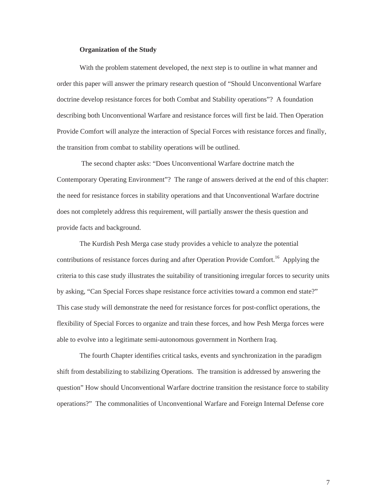#### **Organization of the Study**

<span id="page-13-0"></span>With the problem statement developed, the next step is to outline in what manner and order this paper will answer the primary research question of "Should Unconventional Warfare doctrine develop resistance forces for both Combat and Stability operations"? A foundation describing both Unconventional Warfare and resistance forces will first be laid. Then Operation Provide Comfort will analyze the interaction of Special Forces with resistance forces and finally, the transition from combat to stability operations will be outlined.

 The second chapter asks: "Does Unconventional Warfare doctrine match the Contemporary Operating Environment"? The range of answers derived at the end of this chapter: the need for resistance forces in stability operations and that Unconventional Warfare doctrine does not completely address this requirement, will partially answer the thesis question and provide facts and background.

The Kurdish Pesh Merga case study provides a vehicle to analyze the potential contributions of resistance forces during and after Operation Provide Comfort.<sup>16</sup> Applying the criteria to this case study illustrates the suitability of transitioning irregular forces to security units by asking, "Can Special Forces shape resistance force activities toward a common end state?" This case study will demonstrate the need for resistance forces for post-conflict operations, the flexibility of Special Forces to organize and train these forces, and how Pesh Merga forces were able to evolve into a legitimate semi-autonomous government in Northern Iraq.

<span id="page-13-1"></span>The fourth Chapter identifies critical tasks, events and synchronization in the paradigm shift from destabilizing to stabilizing Operations. The transition is addressed by answering the question" How should Unconventional Warfare doctrine transition the resistance force to stability operations?" The commonalities of Unconventional Warfare and Foreign Internal Defense core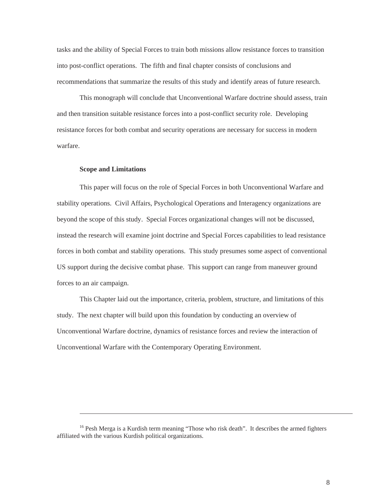<span id="page-14-0"></span>tasks and the ability of Special Forces to train both missions allow resistance forces to transition into post-conflict operations. The fifth and final chapter consists of conclusions and recommendations that summarize the results of this study and identify areas of future research.

This monograph will conclude that Unconventional Warfare doctrine should assess, train and then transition suitable resistance forces into a post-conflict security role. Developing resistance forces for both combat and security operations are necessary for success in modern warfare.

#### **Scope and Limitations**

 $\overline{a}$ 

This paper will focus on the role of Special Forces in both Unconventional Warfare and stability operations. Civil Affairs, Psychological Operations and Interagency organizations are beyond the scope of this study. Special Forces organizational changes will not be discussed, instead the research will examine joint doctrine and Special Forces capabilities to lead resistance forces in both combat and stability operations. This study presumes some aspect of conventional US support during the decisive combat phase. This support can range from maneuver ground forces to an air campaign.

This Chapter laid out the importance, criteria, problem, structure, and limitations of this study. The next chapter will build upon this foundation by conducting an overview of Unconventional Warfare doctrine, dynamics of resistance forces and review the interaction of Unconventional Warfare with the Contemporary Operating Environment.

<sup>&</sup>lt;sup>16</sup> Pesh Merga is a Kurdish term meaning "Those who risk death". It describes the armed fighters affiliated with the various Kurdish political organizations.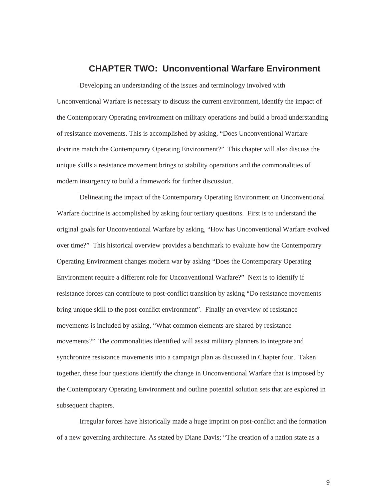## **CHAPTER TWO: Unconventional Warfare Environment**

<span id="page-15-0"></span>Developing an understanding of the issues and terminology involved with Unconventional Warfare is necessary to discuss the current environment, identify the impact of the Contemporary Operating environment on military operations and build a broad understanding of resistance movements. This is accomplished by asking, "Does Unconventional Warfare doctrine match the Contemporary Operating Environment?" This chapter will also discuss the unique skills a resistance movement brings to stability operations and the commonalities of modern insurgency to build a framework for further discussion.

Delineating the impact of the Contemporary Operating Environment on Unconventional Warfare doctrine is accomplished by asking four tertiary questions. First is to understand the original goals for Unconventional Warfare by asking, "How has Unconventional Warfare evolved over time?" This historical overview provides a benchmark to evaluate how the Contemporary Operating Environment changes modern war by asking "Does the Contemporary Operating Environment require a different role for Unconventional Warfare?" Next is to identify if resistance forces can contribute to post-conflict transition by asking "Do resistance movements bring unique skill to the post-conflict environment". Finally an overview of resistance movements is included by asking, "What common elements are shared by resistance movements?" The commonalities identified will assist military planners to integrate and synchronize resistance movements into a campaign plan as discussed in Chapter four. Taken together, these four questions identify the change in Unconventional Warfare that is imposed by the Contemporary Operating Environment and outline potential solution sets that are explored in subsequent chapters.

Irregular forces have historically made a huge imprint on post-conflict and the formation of a new governing architecture. As stated by Diane Davis; "The creation of a nation state as a

9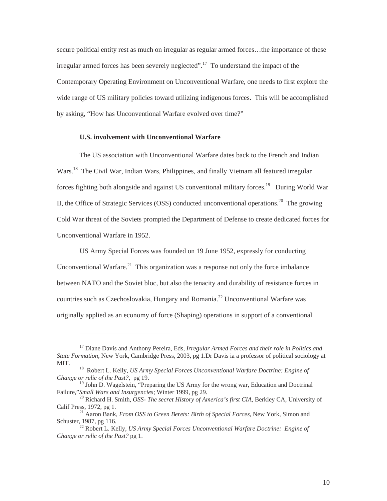<span id="page-16-0"></span>secure political entity rest as much on irregular as regular armed forces...the importance of these irregular armed forces has been severely neglected".<sup>17</sup> To understand the impact of the Contemporary Operating Environment on Unconventional Warfare, one needs to first explore the wide range of US military policies toward utilizing indigenous forces. This will be accomplished by asking, "How has Unconventional Warfare evolved over time?"

#### **U.S. involvement with Unconventional Warfare**

<span id="page-16-1"></span> $\overline{a}$ 

The US association with Unconventional Warfare dates back to the French and Indian Wars.[18](#page-16-2) The Civil War, Indian Wars, Philippines, and finally Vietnam all featured irregular forces fighting both alongside and against US conventional military forces.<sup>19</sup> During World War II, the Office of Strategic Services (OSS) conducted unconventional operations.<sup>20</sup> The growing Cold War threat of the Soviets prompted the Department of Defense to create dedicated forces for Unconventional Warfare in 1952.

US Army Special Forces was founded on 19 June 1952, expressly for conducting Unconventional Warfare.<sup>21</sup> This organization was a response not only the force imbalance between NATO and the Soviet bloc, but also the tenacity and durability of resistance forces in countries such as Czechoslovakia, Hungary and Romania.[22](#page-16-6) Unconventional Warfare was originally applied as an economy of force (Shaping) operations in support of a conventional

<sup>17</sup> Diane Davis and Anthony Pereira, Eds, *Irregular Armed Forces and their role in Politics and State Formation*, New York, Cambridge Press, 2003, pg 1.Dr Davis ia a professor of political sociology at MIT. 18 Robert L. Kelly*, US Army Special Forces Unconventional Warfare Doctrine: Engine of*

<span id="page-16-2"></span>*Change or relic of the Past?,* pg 19.

<span id="page-16-3"></span><sup>&</sup>lt;sup>19</sup> John D. Wagelstein, "Preparing the US Army for the wrong war, Education and Doctrinal

<span id="page-16-4"></span>Failure,"*Small Wars and Insurgencies*; Winter 1999, pg 29.<br><sup>20</sup> Richard H. Smith, *OSS- The secret History of America's first CIA*, Berkley CA, University of Calif Press, 1972, pg 1.

<span id="page-16-5"></span><sup>&</sup>lt;sup>21</sup> Aaron Bank, *From OSS to Green Berets: Birth of Special Forces*, New York, Simon and Schuster, 1987, pg 116.

<span id="page-16-6"></span><sup>&</sup>lt;sup>22</sup> Robert L. Kelly, *US Army Special Forces Unconventional Warfare Doctrine: Engine of Change or relic of the Past?* pg 1.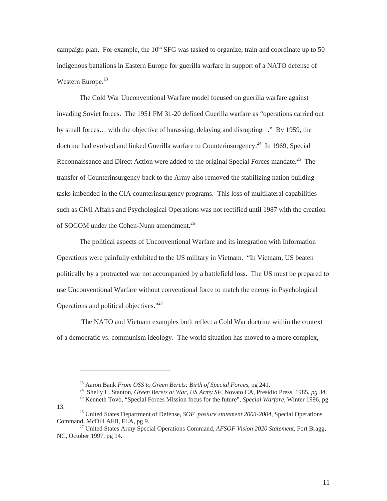campaign plan. For example, the  $10^{th}$  SFG was tasked to organize, train and coordinate up to 50 indigenous battalions in Eastern Europe for guerilla warfare in support of a NATO defense of Western Europe. $23$ 

The Cold War Unconventional Warfare model focused on guerilla warfare against invading Soviet forces. The 1951 FM 31-20 defined Guerilla warfare as "operations carried out by small forces… with the objective of harassing, delaying and disrupting ." By 1959, the doctrine had evolved and linked Guerilla warfare to Counterinsurgency.<sup>24</sup> In 1969, Special Reconnaissance and Direct Action were added to the original Special Forces mandate.<sup>25</sup> The transfer of Counterinsurgency back to the Army also removed the stabilizing nation building tasks imbedded in the CIA counterinsurgency programs. This loss of multilateral capabilities such as Civil Affairs and Psychological Operations was not rectified until 1987 with the creation of SOCOM under the Cohen-Nunn amendment.<sup>26</sup>

The political aspects of Unconventional Warfare and its integration with Information Operations were painfully exhibited to the US military in Vietnam. "In Vietnam, US beaten politically by a protracted war not accompanied by a battlefield loss. The US must be prepared to use Unconventional Warfare without conventional force to match the enemy in Psychological Operations and political objectives."[27](#page-17-4)

 The NATO and Vietnam examples both reflect a Cold War doctrine within the context of a democratic vs. communism ideology. The world situation has moved to a more complex,

-

<sup>23</sup> Aaron Bank *From OSS to Green Berets: Birth of Special Forces*, pg 241.<br><sup>24</sup> Shelly L. Stanton, *Green Berets at War, US Army SF*, Novato CA, Presidio Press, 1985, *pg 34*.<br><sup>25</sup> Kenneth Tovo, "Special Forces Mission

<span id="page-17-3"></span><span id="page-17-2"></span><span id="page-17-1"></span><span id="page-17-0"></span>

<sup>13. 26</sup> United States Department of Defense, *SOF posture statement 2003-2004,* Special Operations

Command*,* McDill AFB, FLA, pg 9. 27 United States Army Special Operations Command, *AFSOF Vision 2020 Statement*, Fort Bragg,

<span id="page-17-4"></span>NC, October 1997, pg 14.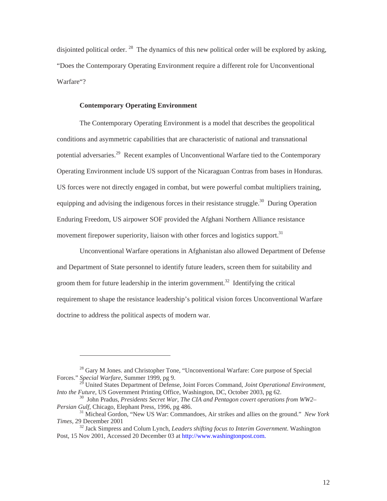<span id="page-18-0"></span>disjointed political order. <sup>28</sup> The dynamics of this new political order will be explored by asking, "Does the Contemporary Operating Environment require a different role for Unconventional Warfare"?

#### **Contemporary Operating Environment**

<span id="page-18-1"></span> $\overline{a}$ 

The Contemporary Operating Environment is a model that describes the geopolitical conditions and asymmetric capabilities that are characteristic of national and transnational potential adversaries.<sup>29</sup> Recent examples of Unconventional Warfare tied to the Contemporary Operating Environment include US support of the Nicaraguan Contras from bases in Honduras. US forces were not directly engaged in combat, but were powerful combat multipliers training, equipping and advising the indigenous forces in their resistance struggle.<sup>30</sup> During Operation Enduring Freedom, US airpower SOF provided the Afghani Northern Alliance resistance movement firepower superiority, liaison with other forces and logistics support.<sup>31</sup>

Unconventional Warfare operations in Afghanistan also allowed Department of Defense and Department of State personnel to identify future leaders, screen them for suitability and groom them for future leadership in the interim government.<sup>32</sup> Identifying the critical requirement to shape the resistance leadership's political vision forces Unconventional Warfare doctrine to address the political aspects of modern war.

<sup>&</sup>lt;sup>28</sup> Gary M Jones. and Christopher Tone, "Unconventional Warfare: Core purpose of Special Forces." *Special Warfare*, Summer 1999, pg 9.

<span id="page-18-2"></span><sup>29</sup> United States Department of Defense, Joint Forces Command, *Joint Operational Environment,* 

<span id="page-18-3"></span>*Into the Future*, US Government Printing Office, Washington, DC, October 2003, pg 62.<br><sup>30</sup> John Pradus, *Presidents Secret War, The CIA and Pentagon covert operations from WW2–*<br>*Persian Gulf*, Chicago, Elephant Press, 19

<span id="page-18-4"></span><sup>&</sup>lt;sup>31</sup> Micheal Gordon, "New US War: Commandoes, Air strikes and allies on the ground." *New York Times, 29 December 2001* 32 Jack Simpress and Colum Lynch, *Leaders shifting focus to Interim Government*. Washington

<span id="page-18-5"></span>Post, 15 Nov 2001, Accessed 20 December 03 at [http://www.washingtonpost.com.](http://www.washington/)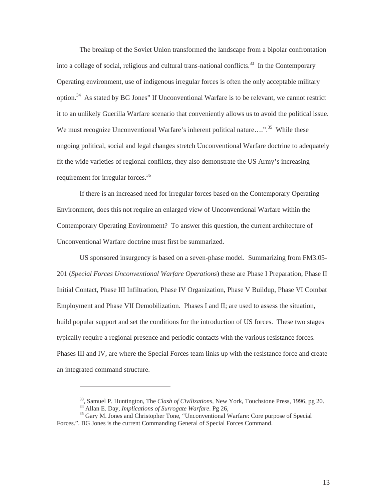The breakup of the Soviet Union transformed the landscape from a bipolar confrontation into a collage of social, religious and cultural trans-national conflicts.<sup>33</sup> In the Contemporary Operating environment, use of indigenous irregular forces is often the only acceptable military option.[34](#page-19-1) As stated by BG Jones" If Unconventional Warfare is to be relevant, we cannot restrict it to an unlikely Guerilla Warfare scenario that conveniently allows us to avoid the political issue. We must recognize Unconventional Warfare's inherent political nature...."<sup>35</sup> While these ongoing political, social and legal changes stretch Unconventional Warfare doctrine to adequately fit the wide varieties of regional conflicts, they also demonstrate the US Army's increasing requirement for irregular forces.<sup>36</sup>

If there is an increased need for irregular forces based on the Contemporary Operating Environment, does this not require an enlarged view of Unconventional Warfare within the Contemporary Operating Environment? To answer this question, the current architecture of Unconventional Warfare doctrine must first be summarized.

US sponsored insurgency is based on a seven-phase model. Summarizing from FM3.05- 201 (*Special Forces Unconventional Warfare Operations*) these are Phase I Preparation, Phase II Initial Contact, Phase III Infiltration, Phase IV Organization, Phase V Buildup, Phase VI Combat Employment and Phase VII Demobilization. Phases I and II; are used to assess the situation, build popular support and set the conditions for the introduction of US forces. These two stages typically require a regional presence and periodic contacts with the various resistance forces. Phases III and IV, are where the Special Forces team links up with the resistance force and create an integrated command structure.

<span id="page-19-3"></span><span id="page-19-0"></span><sup>&</sup>lt;sup>33</sup>, Samuel P. Huntington, The *Clash of Civilizations*, New York, Touchstone Press, 1996, pg 20.<br><sup>34</sup> Allan E. Day, *Implications of Surrogate Warfare*. Pg 26,<br><sup>35</sup> Garv M. Jones and Christopher Tone, "Unconventional Wa

<span id="page-19-2"></span><span id="page-19-1"></span>

Forces.". BG Jones is the current Commanding General of Special Forces Command.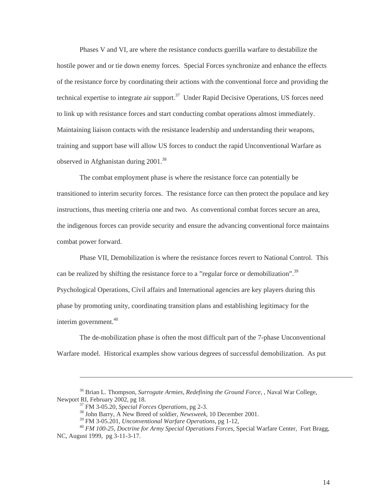Phases V and VI, are where the resistance conducts guerilla warfare to destabilize the hostile power and or tie down enemy forces. Special Forces synchronize and enhance the effects of the resistance force by coordinating their actions with the conventional force and providing the technical expertise to integrate air support.<sup>37</sup> Under Rapid Decisive Operations, US forces need to link up with resistance forces and start conducting combat operations almost immediately. Maintaining liaison contacts with the resistance leadership and understanding their weapons, training and support base will allow US forces to conduct the rapid Unconventional Warfare as observed in Afghanistan during 2001.<sup>38</sup>

The combat employment phase is where the resistance force can potentially be transitioned to interim security forces. The resistance force can then protect the populace and key instructions, thus meeting criteria one and two. As conventional combat forces secure an area, the indigenous forces can provide security and ensure the advancing conventional force maintains combat power forward.

Phase VII, Demobilization is where the resistance forces revert to National Control. This can be realized by shifting the resistance force to a "regular force or demobilization".<sup>39</sup> Psychological Operations, Civil affairs and International agencies are key players during this phase by promoting unity, coordinating transition plans and establishing legitimacy for the interim government.<sup>[40](#page-20-3)</sup>

The de-mobilization phase is often the most difficult part of the 7-phase Unconventional Warfare model. Historical examples show various degrees of successful demobilization. As put

<sup>&</sup>lt;sup>36</sup> Brian L. Thompson, *Surrogate Armies, Redefining the Ground Force*, , Naval War College, Newport RI, February 2002, pg 18.

<span id="page-20-1"></span>

<span id="page-20-0"></span><sup>&</sup>lt;sup>37</sup> FM 3-05.20, *Special Forces Operations*, pg 2-3.<br><sup>38</sup> John Barry, A New Breed of soldier, *Newsweek*, 10 December 2001.<br><sup>39</sup> FM 3-05.201, *Unconventional Warfare Operations*, pg 1-12,

<span id="page-20-3"></span><span id="page-20-2"></span>

<sup>&</sup>lt;sup>40</sup> FM 100-25, Doctrine for Army Special Operations Forces, Special Warfare Center, Fort Bragg, NC, August 1999, pg 3-11-3-17.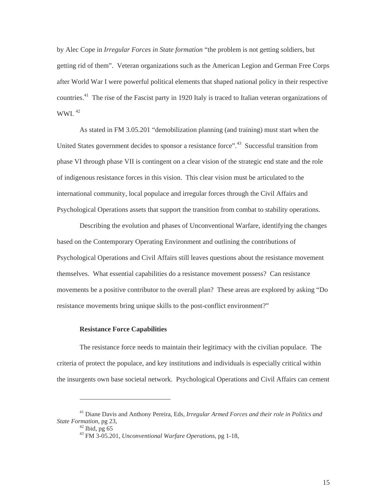<span id="page-21-0"></span>by Alec Cope in *Irregular Forces in State formation* "the problem is not getting soldiers, but getting rid of them". Veteran organizations such as the American Legion and German Free Corps after World War I were powerful political elements that shaped national policy in their respective countries.[41](#page-21-1) The rise of the Fascist party in 1920 Italy is traced to Italian veteran organizations of WWI.  $42$ 

As stated in FM 3.05.201 "demobilization planning (and training) must start when the United States government decides to sponsor a resistance force"<sup>43</sup> Successful transition from phase VI through phase VII is contingent on a clear vision of the strategic end state and the role of indigenous resistance forces in this vision. This clear vision must be articulated to the international community, local populace and irregular forces through the Civil Affairs and Psychological Operations assets that support the transition from combat to stability operations.

Describing the evolution and phases of Unconventional Warfare, identifying the changes based on the Contemporary Operating Environment and outlining the contributions of Psychological Operations and Civil Affairs still leaves questions about the resistance movement themselves. What essential capabilities do a resistance movement possess? Can resistance movements be a positive contributor to the overall plan? These areas are explored by asking "Do resistance movements bring unique skills to the post-conflict environment?"

#### **Resistance Force Capabilities**

The resistance force needs to maintain their legitimacy with the civilian populace. The criteria of protect the populace, and key institutions and individuals is especially critical within the insurgents own base societal network. Psychological Operations and Civil Affairs can cement

<sup>41</sup> Diane Davis and Anthony Pereira, Eds, *Irregular Armed Forces and their role in Politics and State Formation*, pg 23, 42 Ibid, pg <sup>65</sup> 43 FM 3-05.201, *Unconventional Warfare Operations*, pg 1-18,

<span id="page-21-2"></span><span id="page-21-1"></span>

<span id="page-21-3"></span>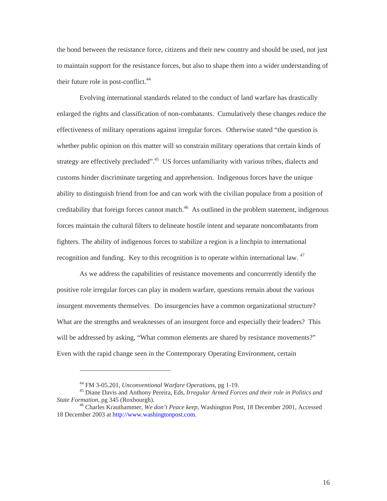the bond between the resistance force, citizens and their new country and should be used, not just to maintain support for the resistance forces, but also to shape them into a wider understanding of their future role in post-conflict.<sup>44</sup>

Evolving international standards related to the conduct of land warfare has drastically enlarged the rights and classification of non-combatants. Cumulatively these changes reduce the effectiveness of military operations against irregular forces. Otherwise stated "the question is whether public opinion on this matter will so constrain military operations that certain kinds of strategy are effectively precluded".<sup>45</sup> US forces unfamiliarity with various tribes, dialects and customs hinder discriminate targeting and apprehension. Indigenous forces have the unique ability to distinguish friend from foe and can work with the civilian populace from a position of creditability that foreign forces cannot match.<sup>46</sup> As outlined in the problem statement, indigenous forces maintain the cultural filters to delineate hostile intent and separate noncombatants from fighters. The ability of indigenous forces to stabilize a region is a linchpin to international recognition and funding. Key to this recognition is to operate within international law. <sup>47</sup>

As we address the capabilities of resistance movements and concurrently identify the positive role irregular forces can play in modern warfare, questions remain about the various insurgent movements themselves. Do insurgencies have a common organizational structure? What are the strengths and weaknesses of an insurgent force and especially their leaders? This will be addressed by asking, "What common elements are shared by resistance movements?" Even with the rapid change seen in the Contemporary Operating Environment, certain

<span id="page-22-3"></span><span id="page-22-2"></span><span id="page-22-1"></span><span id="page-22-0"></span>

<sup>44</sup> FM 3-05.201, *Unconventional Warfare Operations*, pg 1-19. 45 Diane Davis and Anthony Pereira, Eds, *Irregular Armed Forces and their role in Politics and* 

<sup>&</sup>lt;sup>46</sup> Charles Krauthammer, *We don't Peace keep*, Washington Post, 18 December 2001, Accessed 18 December 2003 at [http://www.washingtonpost.com.](http://www.washingtonpost.com/)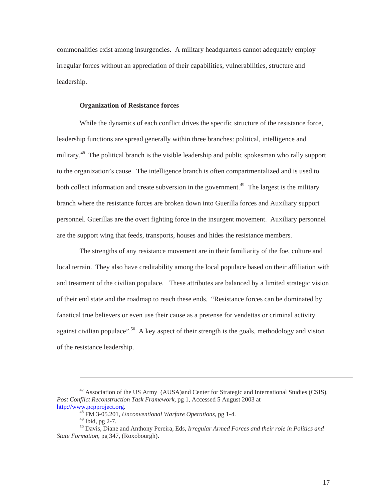<span id="page-23-0"></span>commonalities exist among insurgencies. A military headquarters cannot adequately employ irregular forces without an appreciation of their capabilities, vulnerabilities, structure and leadership.

#### **Organization of Resistance forces**

While the dynamics of each conflict drives the specific structure of the resistance force, leadership functions are spread generally within three branches: political, intelligence and military.<sup>48</sup> The political branch is the visible leadership and public spokesman who rally support to the organization's cause. The intelligence branch is often compartmentalized and is used to both collect information and create subversion in the government.<sup>49</sup> The largest is the military branch where the resistance forces are broken down into Guerilla forces and Auxiliary support personnel. Guerillas are the overt fighting force in the insurgent movement. Auxiliary personnel are the support wing that feeds, transports, houses and hides the resistance members.

The strengths of any resistance movement are in their familiarity of the foe, culture and local terrain. They also have creditability among the local populace based on their affiliation with and treatment of the civilian populace. These attributes are balanced by a limited strategic vision of their end state and the roadmap to reach these ends. "Resistance forces can be dominated by fanatical true believers or even use their cause as a pretense for vendettas or criminal activity against civilian populace".<sup>50</sup> A key aspect of their strength is the goals, methodology and vision of the resistance leadership.

<sup>&</sup>lt;sup>47</sup> Association of the US Army (AUSA)and Center for Strategic and International Studies (CSIS), *Post Conflict Reconstruction Task Framework*, pg 1, Accessed 5 August 2003 at

[http://www.pcpproject.org](http://www.pcpproject.org/). [48](http://www.pcpproject.org/) FM 3-05.201, *Unconventional Warfare Operations*, pg 1-4.

<span id="page-23-3"></span><span id="page-23-2"></span><span id="page-23-1"></span>

<sup>&</sup>lt;sup>50</sup> Davis, Diane and Anthony Pereira, Eds, Irregular Armed Forces and their role in Politics and *State Formation*, pg 347, (Roxobourgh).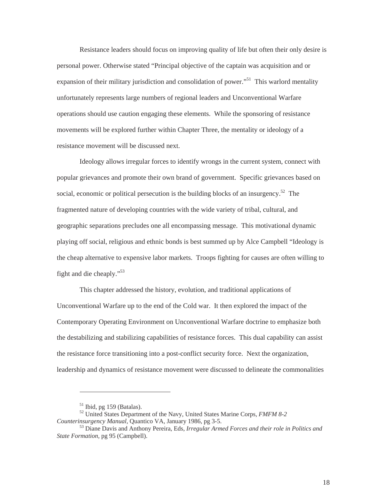Resistance leaders should focus on improving quality of life but often their only desire is personal power. Otherwise stated "Principal objective of the captain was acquisition and or expansion of their military jurisdiction and consolidation of power."<sup>51</sup> This warlord mentality unfortunately represents large numbers of regional leaders and Unconventional Warfare operations should use caution engaging these elements. While the sponsoring of resistance movements will be explored further within Chapter Three, the mentality or ideology of a resistance movement will be discussed next.

Ideology allows irregular forces to identify wrongs in the current system, connect with popular grievances and promote their own brand of government. Specific grievances based on social, economic or political persecution is the building blocks of an insurgency.<sup>52</sup> The fragmented nature of developing countries with the wide variety of tribal, cultural, and geographic separations precludes one all encompassing message. This motivational dynamic playing off social, religious and ethnic bonds is best summed up by Alce Campbell "Ideology is the cheap alternative to expensive labor markets. Troops fighting for causes are often willing to fight and die cheaply."[53](#page-24-2)

This chapter addressed the history, evolution, and traditional applications of Unconventional Warfare up to the end of the Cold war. It then explored the impact of the Contemporary Operating Environment on Unconventional Warfare doctrine to emphasize both the destabilizing and stabilizing capabilities of resistance forces. This dual capability can assist the resistance force transitioning into a post-conflict security force. Next the organization, leadership and dynamics of resistance movement were discussed to delineate the commonalities

<span id="page-24-2"></span><span id="page-24-1"></span><span id="page-24-0"></span>

<sup>51</sup> Ibid, pg 159 (Batalas). 52 United States Department of the Navy, United States Marine Corps, *FMFM 8-2 Counterinsurgency Manual*, Quantico VA, January 1986, pg 3-5.<br><sup>53</sup> Diane Davis and Anthony Pereira, Eds, *Irregular Armed Forces and their role in Politics and* 

*State Formation*, pg 95 (Campbell).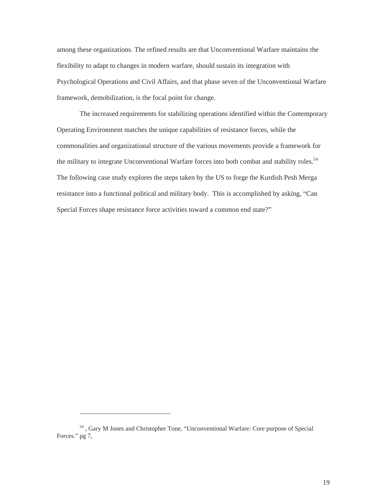among these organizations. The refined results are that Unconventional Warfare maintains the flexibility to adapt to changes in modern warfare, should sustain its integration with Psychological Operations and Civil Affairs, and that phase seven of the Unconventional Warfare framework, demobilization, is the focal point for change.

The increased requirements for stabilizing operations identified within the Contemporary Operating Environment matches the unique capabilities of resistance forces, while the commonalities and organizational structure of the various movements provide a framework for the military to integrate Unconventional Warfare forces into both combat and stability roles.<sup>54</sup> The following case study explores the steps taken by the US to forge the Kurdish Pesh Merga resistance into a functional political and military body. This is accomplished by asking, "Can Special Forces shape resistance force activities toward a common end state?"

<span id="page-25-0"></span><sup>54 ,</sup> Gary M Jones and Christopher Tone, "Unconventional Warfare: Core purpose of Special Forces." pg 7,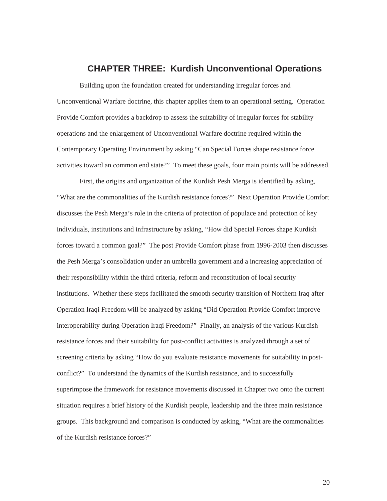## **CHAPTER THREE: Kurdish Unconventional Operations**

<span id="page-26-0"></span>Building upon the foundation created for understanding irregular forces and Unconventional Warfare doctrine, this chapter applies them to an operational setting. Operation Provide Comfort provides a backdrop to assess the suitability of irregular forces for stability operations and the enlargement of Unconventional Warfare doctrine required within the Contemporary Operating Environment by asking "Can Special Forces shape resistance force activities toward an common end state?" To meet these goals, four main points will be addressed.

First, the origins and organization of the Kurdish Pesh Merga is identified by asking, "What are the commonalities of the Kurdish resistance forces?" Next Operation Provide Comfort discusses the Pesh Merga's role in the criteria of protection of populace and protection of key individuals, institutions and infrastructure by asking, "How did Special Forces shape Kurdish forces toward a common goal?" The post Provide Comfort phase from 1996-2003 then discusses the Pesh Merga's consolidation under an umbrella government and a increasing appreciation of their responsibility within the third criteria, reform and reconstitution of local security institutions. Whether these steps facilitated the smooth security transition of Northern Iraq after Operation Iraqi Freedom will be analyzed by asking "Did Operation Provide Comfort improve interoperability during Operation Iraqi Freedom?" Finally, an analysis of the various Kurdish resistance forces and their suitability for post-conflict activities is analyzed through a set of screening criteria by asking "How do you evaluate resistance movements for suitability in postconflict?" To understand the dynamics of the Kurdish resistance, and to successfully superimpose the framework for resistance movements discussed in Chapter two onto the current situation requires a brief history of the Kurdish people, leadership and the three main resistance groups. This background and comparison is conducted by asking, "What are the commonalities of the Kurdish resistance forces?"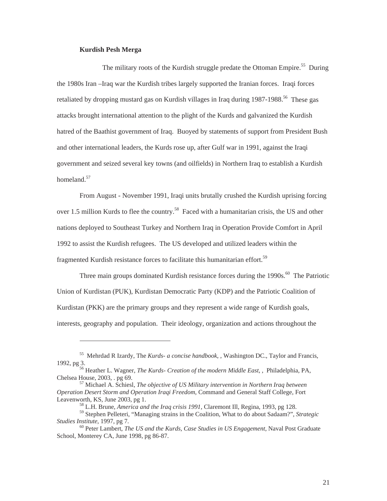#### **Kurdish Pesh Merga**

<span id="page-27-1"></span> $\overline{a}$ 

<span id="page-27-0"></span>The military roots of the Kurdish struggle predate the Ottoman Empire.<sup>55</sup> During the 1980s Iran –Iraq war the Kurdish tribes largely supported the Iranian forces. Iraqi forces retaliated by dropping mustard gas on Kurdish villages in Iraq during  $1987-1988$ <sup>56</sup>. These gas attacks brought international attention to the plight of the Kurds and galvanized the Kurdish hatred of the Baathist government of Iraq. Buoyed by statements of support from President Bush and other international leaders, the Kurds rose up, after Gulf war in 1991, against the Iraqi government and seized several key towns (and oilfields) in Northern Iraq to establish a Kurdish homeland<sup>[57](#page-27-3)</sup>

From August - November 1991, Iraqi units brutally crushed the Kurdish uprising forcing over 1.5 million Kurds to flee the country.<sup>58</sup> Faced with a humanitarian crisis, the US and other nations deployed to Southeast Turkey and Northern Iraq in Operation Provide Comfort in April 1992 to assist the Kurdish refugees. The US developed and utilized leaders within the fragmented Kurdish resistance forces to facilitate this humanitarian effort.<sup>[59](#page-27-5)</sup>

Three main groups dominated Kurdish resistance forces during the 1990s.<sup>60</sup> The Patriotic Union of Kurdistan (PUK), Kurdistan Democratic Party (KDP) and the Patriotic Coalition of Kurdistan (PKK) are the primary groups and they represent a wide range of Kurdish goals, interests, geography and population. Their ideology, organization and actions throughout the

<sup>55</sup> Mehrdad R Izardy, The *Kurds- a concise handbook*, , Washington DC., Taylor and Francis, 1992, pg 3.

<span id="page-27-2"></span><sup>56</sup> Heather L. Wagner, *The Kurds- Creation of the modern Middle East*, , Philadelphia, PA, Chelsea House, 2003, . pg 69. 57 Michael A. Schiesl, *The objective of US Military intervention in Northern Iraq between*

*Operation Desert Storm and Operation Iraqi Freedom*, Command and General Staff College, Fort Leavenworth, KS, June 2003, pg 1.<br><sup>58</sup> L.H. Brune, *America and the Iraq crisis 1991*, Claremont Ill, Regina, 1993, pg 128.

<span id="page-27-6"></span><span id="page-27-5"></span><span id="page-27-4"></span><span id="page-27-3"></span>

<sup>59</sup> Stephen Pelleteri, "Managing strains in the Coalition, What to do about Sadaam?", *Strategic Studies Institute*, 1997, pg 7. 60 Peter Lambert, *The US and the Kurds, Case Studies in US Engagement*, Naval Post Graduate

School, Monterey CA, June 1998, pg 86-87.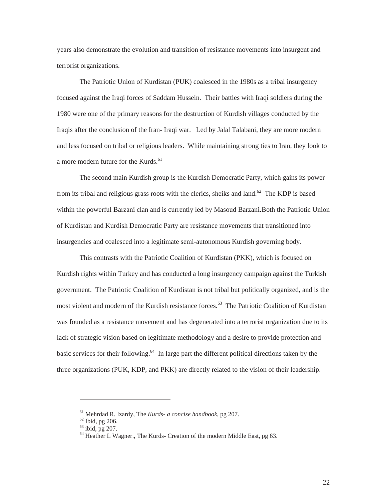years also demonstrate the evolution and transition of resistance movements into insurgent and terrorist organizations.

The Patriotic Union of Kurdistan (PUK) coalesced in the 1980s as a tribal insurgency focused against the Iraqi forces of Saddam Hussein. Their battles with Iraqi soldiers during the 1980 were one of the primary reasons for the destruction of Kurdish villages conducted by the Iraqis after the conclusion of the Iran- Iraqi war. Led by Jalal Talabani, they are more modern and less focused on tribal or religious leaders. While maintaining strong ties to Iran, they look to a more modern future for the Kurds.<sup>[61](#page-28-0)</sup>

The second main Kurdish group is the Kurdish Democratic Party, which gains its power from its tribal and religious grass roots with the clerics, sheiks and land.<sup>62</sup> The KDP is based within the powerful Barzani clan and is currently led by Masoud Barzani. Both the Patriotic Union of Kurdistan and Kurdish Democratic Party are resistance movements that transitioned into insurgencies and coalesced into a legitimate semi-autonomous Kurdish governing body.

This contrasts with the Patriotic Coalition of Kurdistan (PKK), which is focused on Kurdish rights within Turkey and has conducted a long insurgency campaign against the Turkish government. The Patriotic Coalition of Kurdistan is not tribal but politically organized, and is the most violent and modern of the Kurdish resistance forces.<sup>63</sup> The Patriotic Coalition of Kurdistan was founded as a resistance movement and has degenerated into a terrorist organization due to its lack of strategic vision based on legitimate methodology and a desire to provide protection and basic services for their following.<sup>64</sup> In large part the different political directions taken by the three organizations (PUK, KDP, and PKK) are directly related to the vision of their leadership.

<span id="page-28-1"></span>

<span id="page-28-3"></span><span id="page-28-2"></span>

<span id="page-28-0"></span><sup>&</sup>lt;sup>61</sup> Mehrdad R. Izardy, The *Kurds- a concise handbook*, pg 207.<br><sup>62</sup> Ibid, pg 206.<br><sup>63</sup> ibid, pg 207.<br><sup>64</sup> Heather L Wagner., The Kurds- Creation of the modern Middle East, pg 63.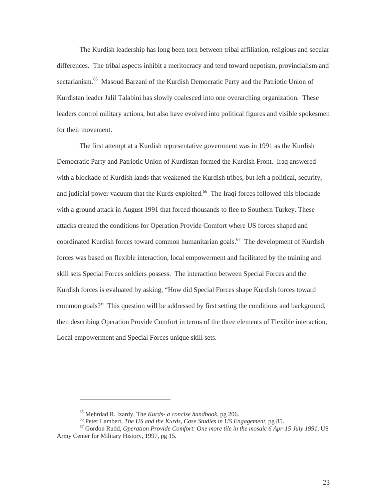The Kurdish leadership has long been torn between tribal affiliation, religious and secular differences. The tribal aspects inhibit a meritocracy and tend toward nepotism, provincialism and sectarianism.<sup>65</sup> Masoud Barzani of the Kurdish Democratic Party and the Patriotic Union of Kurdistan leader Jalil Talabini has slowly coalesced into one overarching organization. These leaders control military actions, but also have evolved into political figures and visible spokesmen for their movement.

The first attempt at a Kurdish representative government was in 1991 as the Kurdish Democratic Party and Patriotic Union of Kurdistan formed the Kurdish Front. Iraq answered with a blockade of Kurdish lands that weakened the Kurdish tribes, but left a political, security, and judicial power vacuum that the Kurds exploited.<sup>66</sup> The Iraqi forces followed this blockade with a ground attack in August 1991 that forced thousands to flee to Southern Turkey. These attacks created the conditions for Operation Provide Comfort where US forces shaped and coordinated Kurdish forces toward common humanitarian goals.<sup>67</sup> The development of Kurdish forces was based on flexible interaction, local empowerment and facilitated by the training and skill sets Special Forces soldiers possess. The interaction between Special Forces and the Kurdish forces is evaluated by asking, "How did Special Forces shape Kurdish forces toward common goals?" This question will be addressed by first setting the conditions and background, then describing Operation Provide Comfort in terms of the three elements of Flexible interaction, Local empowerment and Special Forces unique skill sets.

<span id="page-29-0"></span>

<span id="page-29-2"></span><span id="page-29-1"></span>

<sup>&</sup>lt;sup>65</sup> Mehrdad R. Izardy, The *Kurds- a concise handbook*, pg 206.<br><sup>66</sup> Peter Lambert, *The US and the Kurds, Case Studies in US Engagement*, pg 85.<br><sup>67</sup> Gordon Rudd, *Operation Provide Comfort: One more tile in the mosaic* Army Center for Military History, 1997, pg 15.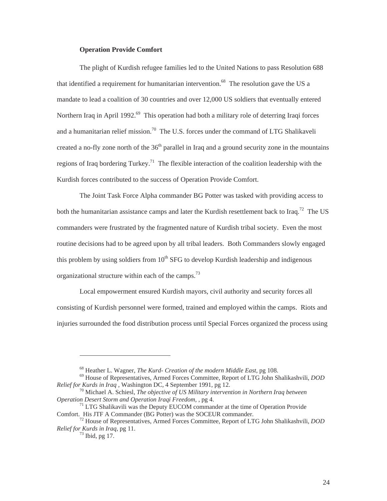#### **Operation Provide Comfort**

<span id="page-30-0"></span>The plight of Kurdish refugee families led to the United Nations to pass Resolution 688 that identified a requirement for humanitarian intervention.<sup>68</sup> The resolution gave the US a mandate to lead a coalition of 30 countries and over 12,000 US soldiers that eventually entered Northern Iraq in April 1992.<sup>69</sup> This operation had both a military role of deterring Iraqi forces and a humanitarian relief mission.<sup>70</sup> The U.S. forces under the command of LTG Shalikaveli created a no-fly zone north of the  $36<sup>th</sup>$  parallel in Iraq and a ground security zone in the mountains regions of Iraq bordering Turkey.<sup>71</sup> The flexible interaction of the coalition leadership with the Kurdish forces contributed to the success of Operation Provide Comfort.

The Joint Task Force Alpha commander BG Potter was tasked with providing access to both the humanitarian assistance camps and later the Kurdish resettlement back to Iraq.<sup>72</sup> The US commanders were frustrated by the fragmented nature of Kurdish tribal society. Even the most routine decisions had to be agreed upon by all tribal leaders. Both Commanders slowly engaged this problem by using soldiers from  $10<sup>th</sup> SFG$  to develop Kurdish leadership and indigenous organizational structure within each of the camps.<sup>[73](#page-30-6)</sup>

Local empowerment ensured Kurdish mayors, civil authority and security forces all consisting of Kurdish personnel were formed, trained and employed within the camps. Riots and injuries surrounded the food distribution process until Special Forces organized the process using

<span id="page-30-3"></span><span id="page-30-2"></span><span id="page-30-1"></span>

<sup>&</sup>lt;sup>68</sup> Heather L. Wagner, *The Kurd- Creation of the modern Middle East*, pg 108.<br><sup>69</sup> House of Representatives, Armed Forces Committee, Report of LTG John Shalikashvili, *DOD Relief for Kurds in Iraq*, Washington DC, 4 Se

<sup>&</sup>lt;sup>70</sup> Michael A. Schiesl, *The objective of US Military intervention in Northern Iraq between* 

<span id="page-30-4"></span>*Operation Desert Storm and Operation Iraqi Freedom,* , pg 4.<br><sup>71</sup> LTG Shalikavili was the Deputy EUCOM commander at the time of Operation Provide<br>Comfort. His JTF A Commander (BG Potter) was the SOCEUR commander.

The STF TTF Community comment of Society Armed Forces Committee, Report of LTG John Shalikashvili, *DOD Relief for Kurds in Iraq,* pg 11. 73 Ibid, pg 17.

<span id="page-30-6"></span><span id="page-30-5"></span>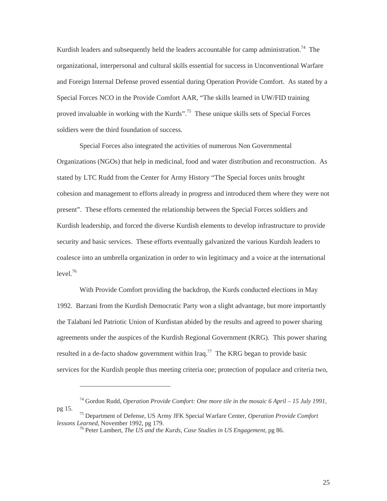Kurdish leaders and subsequently held the leaders accountable for camp administration.<sup>74</sup> The organizational, interpersonal and cultural skills essential for success in Unconventional Warfare and Foreign Internal Defense proved essential during Operation Provide Comfort. As stated by a Special Forces NCO in the Provide Comfort AAR, "The skills learned in UW/FID training proved invaluable in working with the Kurds".<sup>75</sup> These unique skills sets of Special Forces soldiers were the third foundation of success.

Special Forces also integrated the activities of numerous Non Governmental Organizations (NGOs) that help in medicinal, food and water distribution and reconstruction. As stated by LTC Rudd from the Center for Army History "The Special forces units brought cohesion and management to efforts already in progress and introduced them where they were not present". These efforts cemented the relationship between the Special Forces soldiers and Kurdish leadership, and forced the diverse Kurdish elements to develop infrastructure to provide security and basic services. These efforts eventually galvanized the various Kurdish leaders to coalesce into an umbrella organization in order to win legitimacy and a voice at the international  $level.<sup>76</sup>$  $level.<sup>76</sup>$  $level.<sup>76</sup>$ 

With Provide Comfort providing the backdrop, the Kurds conducted elections in May 1992. Barzani from the Kurdish Democratic Party won a slight advantage, but more importantly the Talabani led Patriotic Union of Kurdistan abided by the results and agreed to power sharing agreements under the auspices of the Kurdish Regional Government (KRG). This power sharing resulted in a de-facto shadow government within Iraq.<sup>77</sup> The KRG began to provide basic services for the Kurdish people thus meeting criteria one; protection of populace and criteria two,

<span id="page-31-3"></span><span id="page-31-0"></span><sup>74</sup> Gordon Rudd, *Operation Provide Comfort: One more tile in the mosaic 6 April – 15 July 1991,*

pg 15. 75 Department of Defense, US Army JFK Special Warfare Center, *Operation Provide Comfort*

<span id="page-31-2"></span><span id="page-31-1"></span><sup>&</sup>lt;sup>76</sup> Peter Lambert, *The US and the Kurds, Case Studies in US Engagement*, pg 86.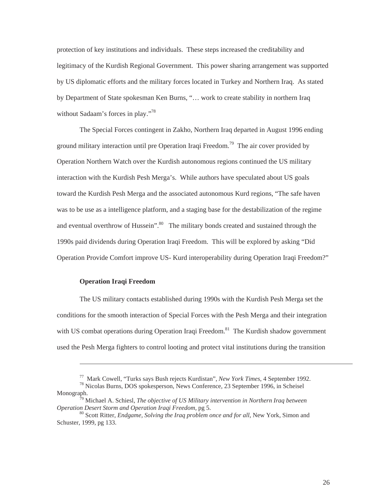<span id="page-32-0"></span>protection of key institutions and individuals. These steps increased the creditability and legitimacy of the Kurdish Regional Government. This power sharing arrangement was supported by US diplomatic efforts and the military forces located in Turkey and Northern Iraq. As stated by Department of State spokesman Ken Burns, "… work to create stability in northern Iraq without Sadaam's forces in play."<sup>78</sup>

The Special Forces contingent in Zakho, Northern Iraq departed in August 1996 ending ground military interaction until pre Operation Iraqi Freedom.<sup>79</sup> The air cover provided by Operation Northern Watch over the Kurdish autonomous regions continued the US military interaction with the Kurdish Pesh Merga's. While authors have speculated about US goals toward the Kurdish Pesh Merga and the associated autonomous Kurd regions, "The safe haven was to be use as a intelligence platform, and a staging base for the destabilization of the regime and eventual overthrow of Hussein".<sup>80</sup> The military bonds created and sustained through the 1990s paid dividends during Operation Iraqi Freedom. This will be explored by asking "Did Operation Provide Comfort improve US- Kurd interoperability during Operation Iraqi Freedom?"

### **Operation Iraqi Freedom**

 $\overline{a}$ 

The US military contacts established during 1990s with the Kurdish Pesh Merga set the conditions for the smooth interaction of Special Forces with the Pesh Merga and their integration with US combat operations during Operation Iraqi Freedom.<sup>81</sup> The Kurdish shadow government used the Pesh Merga fighters to control looting and protect vital institutions during the transition

<span id="page-32-2"></span><span id="page-32-1"></span><sup>77</sup> Mark Cowell, "Turks says Bush rejects Kurdistan", *New York Times*, 4 September 1992. 78 Nicolas Burns, DOS spokesperson, News Conference, 23 September 1996, in Scheisel

Monograph.

<span id="page-32-4"></span><sup>79</sup> Michael A. Schiesl, *The objective of US Military intervention in Northern Iraq between Operation Desert Storm and Operation Iraqi Freedom,* pg 5.<br><sup>80</sup> Scott Ritter, *Endgame, Solving the Iraq problem once and for all*, New York, Simon and

<span id="page-32-3"></span>Schuster, 1999, pg 133.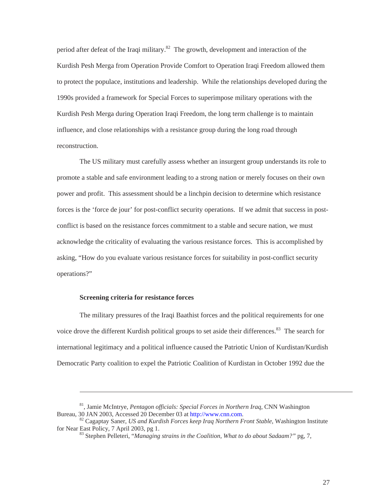<span id="page-33-0"></span>period after defeat of the Iraqi military.<sup>82</sup> The growth, development and interaction of the Kurdish Pesh Merga from Operation Provide Comfort to Operation Iraqi Freedom allowed them to protect the populace, institutions and leadership. While the relationships developed during the 1990s provided a framework for Special Forces to superimpose military operations with the Kurdish Pesh Merga during Operation Iraqi Freedom, the long term challenge is to maintain influence, and close relationships with a resistance group during the long road through reconstruction.

The US military must carefully assess whether an insurgent group understands its role to promote a stable and safe environment leading to a strong nation or merely focuses on their own power and profit. This assessment should be a linchpin decision to determine which resistance forces is the 'force de jour' for post-conflict security operations. If we admit that success in postconflict is based on the resistance forces commitment to a stable and secure nation, we must acknowledge the criticality of evaluating the various resistance forces. This is accomplished by asking, "How do you evaluate various resistance forces for suitability in post-conflict security operations?"

#### **Screening criteria for resistance forces**

-

The military pressures of the Iraqi Baathist forces and the political requirements for one voice drove the different Kurdish political groups to set aside their differences.<sup>83</sup> The search for international legitimacy and a political influence caused the Patriotic Union of Kurdistan/Kurdish Democratic Party coalition to expel the Patriotic Coalition of Kurdistan in October 1992 due the

<sup>&</sup>lt;sup>81</sup>, Jamie McIntrye, *Pentagon officials: Special Forces in Northern Iraq*, CNN Washington Bureau, 30 JAN 2003, Accessed 20 December 03 at http://www.cnn.com.

<sup>&</sup>lt;sup>82</sup> Cagaptay Saner, *US and Kurdish Forces keep Iraq Northern Front Stable*, Washington Institute for Near East Policy, 7 April 2003, pg 1.

<span id="page-33-2"></span><span id="page-33-1"></span><sup>&</sup>lt;sup>83</sup> Stephen Pelleteri, "*Managing strains in the Coalition, What to do about Sadaam?"* pg, 7,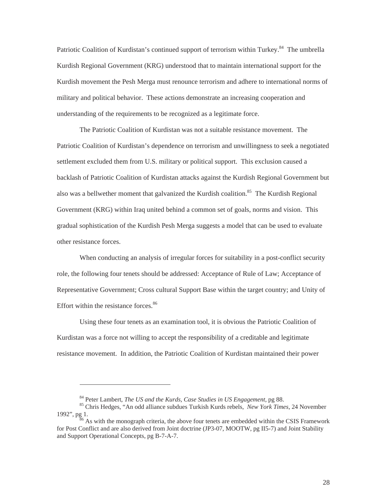Patriotic Coalition of Kurdistan's continued support of terrorism within Turkey.<sup>84</sup> The umbrella Kurdish Regional Government (KRG) understood that to maintain international support for the Kurdish movement the Pesh Merga must renounce terrorism and adhere to international norms of military and political behavior. These actions demonstrate an increasing cooperation and understanding of the requirements to be recognized as a legitimate force.

The Patriotic Coalition of Kurdistan was not a suitable resistance movement. The Patriotic Coalition of Kurdistan's dependence on terrorism and unwillingness to seek a negotiated settlement excluded them from U.S. military or political support. This exclusion caused a backlash of Patriotic Coalition of Kurdistan attacks against the Kurdish Regional Government but also was a bellwether moment that galvanized the Kurdish coalition.<sup>85</sup> The Kurdish Regional Government (KRG) within Iraq united behind a common set of goals, norms and vision. This gradual sophistication of the Kurdish Pesh Merga suggests a model that can be used to evaluate other resistance forces.

When conducting an analysis of irregular forces for suitability in a post-conflict security role, the following four tenets should be addressed: Acceptance of Rule of Law; Acceptance of Representative Government; Cross cultural Support Base within the target country; and Unity of Effort within the resistance forces. $86$ 

Using these four tenets as an examination tool, it is obvious the Patriotic Coalition of Kurdistan was a force not willing to accept the responsibility of a creditable and legitimate resistance movement. In addition, the Patriotic Coalition of Kurdistan maintained their power

<span id="page-34-2"></span><span id="page-34-1"></span><span id="page-34-0"></span>

<sup>&</sup>lt;sup>84</sup> Peter Lambert, *The US and the Kurds, Case Studies in US Engagement*, pg 88.<br><sup>85</sup> Chris Hedges, "An odd alliance subdues Turkish Kurds rebels, *New York Times*, 24 November 1992", pg 1.  $\frac{86}{6}$  As with the monograph criteria, the above four tenets are embedded within the CSIS Framework

for Post Conflict and are also derived from Joint doctrine (JP3-07, MOOTW, pg II5-7) and Joint Stability and Support Operational Concepts, pg B-7-A-7.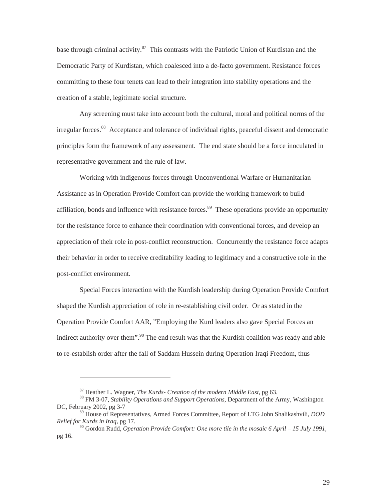base through criminal activity.<sup>87</sup> This contrasts with the Patriotic Union of Kurdistan and the Democratic Party of Kurdistan, which coalesced into a de-facto government. Resistance forces committing to these four tenets can lead to their integration into stability operations and the creation of a stable, legitimate social structure.

Any screening must take into account both the cultural, moral and political norms of the irregular forces.<sup>88</sup> Acceptance and tolerance of individual rights, peaceful dissent and democratic principles form the framework of any assessment. The end state should be a force inoculated in representative government and the rule of law.

Working with indigenous forces through Unconventional Warfare or Humanitarian Assistance as in Operation Provide Comfort can provide the working framework to build affiliation, bonds and influence with resistance forces.<sup>89</sup> These operations provide an opportunity for the resistance force to enhance their coordination with conventional forces, and develop an appreciation of their role in post-conflict reconstruction. Concurrently the resistance force adapts their behavior in order to receive creditability leading to legitimacy and a constructive role in the post-conflict environment.

Special Forces interaction with the Kurdish leadership during Operation Provide Comfort shaped the Kurdish appreciation of role in re-establishing civil order. Or as stated in the Operation Provide Comfort AAR, "Employing the Kurd leaders also gave Special Forces an indirect authority over them".<sup>90</sup> The end result was that the Kurdish coalition was ready and able to re-establish order after the fall of Saddam Hussein during Operation Iraqi Freedom, thus

<span id="page-35-2"></span><span id="page-35-1"></span><span id="page-35-0"></span>

<sup>&</sup>lt;sup>87</sup> Heather L. Wagner, *The Kurds- Creation of the modern Middle East*, pg 63.<br><sup>88</sup> FM 3-07, *Stability Operations and Support Operations*, Department of the Army, Washington DC, February 2002, pg 3-7

<sup>89</sup> House of Representatives, Armed Forces Committee, Report of LTG John Shalikashvili, *DOD Relief for Kurds in Iraq,* pg 17.

<span id="page-35-3"></span><sup>90</sup> Gordon Rudd, *Operation Provide Comfort: One more tile in the mosaic 6 April – 15 July 1991*, pg 16.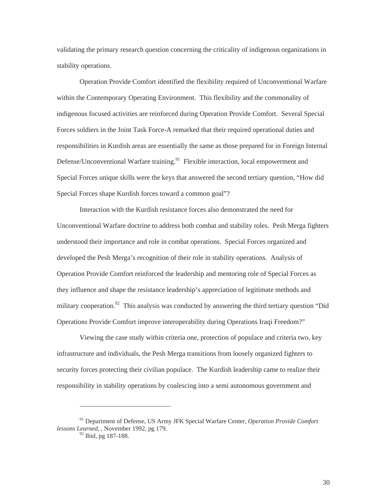validating the primary research question concerning the criticality of indigenous organizations in stability operations.

Operation Provide Comfort identified the flexibility required of Unconventional Warfare within the Contemporary Operating Environment. This flexibility and the commonality of indigenous focused activities are reinforced during Operation Provide Comfort. Several Special Forces soldiers in the Joint Task Force-A remarked that their required operational duties and responsibilities in Kurdish areas are essentially the same as those prepared for in Foreign Internal Defense/Unconventional Warfare training.<sup>91</sup> Flexible interaction, local empowerment and Special Forces unique skills were the keys that answered the second tertiary question, "How did Special Forces shape Kurdish forces toward a common goal"?

Interaction with the Kurdish resistance forces also demonstrated the need for Unconventional Warfare doctrine to address both combat and stability roles. Pesh Merga fighters understood their importance and role in combat operations. Special Forces organized and developed the Pesh Merga's recognition of their role in stability operations. Analysis of Operation Provide Comfort reinforced the leadership and mentoring role of Special Forces as they influence and shape the resistance leadership's appreciation of legitimate methods and military cooperation.<sup>92</sup> This analysis was conducted by answering the third tertiary question "Did" Operations Provide Comfort improve interoperability during Operations Iraqi Freedom?"

Viewing the case study within criteria one, protection of populace and criteria two, key infrastructure and individuals, the Pesh Merga transitions from loosely organized fighters to security forces protecting their civilian populace. The Kurdish leadership came to realize their responsibility in stability operations by coalescing into a semi autonomous government and

<sup>91</sup> Department of Defense, US Army JFK Special Warfare Center, *Operation Provide Comfort lessons Learned*, , November 1992, pg 179.

<span id="page-36-1"></span><span id="page-36-0"></span><sup>&</sup>lt;sup>92</sup> Ibid, pg 187-188.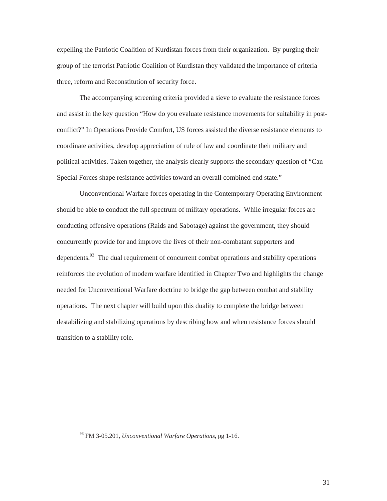expelling the Patriotic Coalition of Kurdistan forces from their organization. By purging their group of the terrorist Patriotic Coalition of Kurdistan they validated the importance of criteria three, reform and Reconstitution of security force.

The accompanying screening criteria provided a sieve to evaluate the resistance forces and assist in the key question "How do you evaluate resistance movements for suitability in postconflict?" In Operations Provide Comfort, US forces assisted the diverse resistance elements to coordinate activities, develop appreciation of rule of law and coordinate their military and political activities. Taken together, the analysis clearly supports the secondary question of "Can Special Forces shape resistance activities toward an overall combined end state."

Unconventional Warfare forces operating in the Contemporary Operating Environment should be able to conduct the full spectrum of military operations. While irregular forces are conducting offensive operations (Raids and Sabotage) against the government, they should concurrently provide for and improve the lives of their non-combatant supporters and dependents.<sup>93</sup> The dual requirement of concurrent combat operations and stability operations reinforces the evolution of modern warfare identified in Chapter Two and highlights the change needed for Unconventional Warfare doctrine to bridge the gap between combat and stability operations. The next chapter will build upon this duality to complete the bridge between destabilizing and stabilizing operations by describing how and when resistance forces should transition to a stability role.

<span id="page-37-0"></span><sup>93</sup> FM 3-05.201*, Unconventional Warfare Operations*, pg 1-16.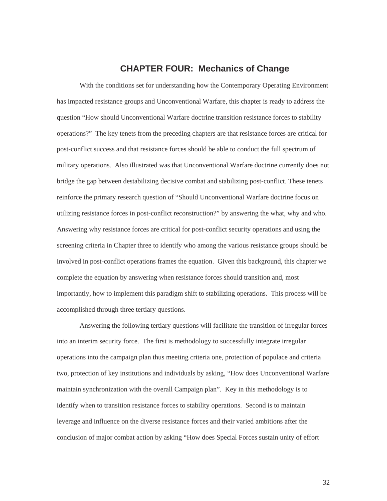## **CHAPTER FOUR: Mechanics of Change**

<span id="page-38-0"></span>With the conditions set for understanding how the Contemporary Operating Environment has impacted resistance groups and Unconventional Warfare, this chapter is ready to address the question "How should Unconventional Warfare doctrine transition resistance forces to stability operations?" The key tenets from the preceding chapters are that resistance forces are critical for post-conflict success and that resistance forces should be able to conduct the full spectrum of military operations. Also illustrated was that Unconventional Warfare doctrine currently does not bridge the gap between destabilizing decisive combat and stabilizing post-conflict. These tenets reinforce the primary research question of "Should Unconventional Warfare doctrine focus on utilizing resistance forces in post-conflict reconstruction?" by answering the what, why and who. Answering why resistance forces are critical for post-conflict security operations and using the screening criteria in Chapter three to identify who among the various resistance groups should be involved in post-conflict operations frames the equation. Given this background, this chapter we complete the equation by answering when resistance forces should transition and, most importantly, how to implement this paradigm shift to stabilizing operations. This process will be accomplished through three tertiary questions.

Answering the following tertiary questions will facilitate the transition of irregular forces into an interim security force. The first is methodology to successfully integrate irregular operations into the campaign plan thus meeting criteria one, protection of populace and criteria two, protection of key institutions and individuals by asking, "How does Unconventional Warfare maintain synchronization with the overall Campaign plan". Key in this methodology is to identify when to transition resistance forces to stability operations. Second is to maintain leverage and influence on the diverse resistance forces and their varied ambitions after the conclusion of major combat action by asking "How does Special Forces sustain unity of effort

32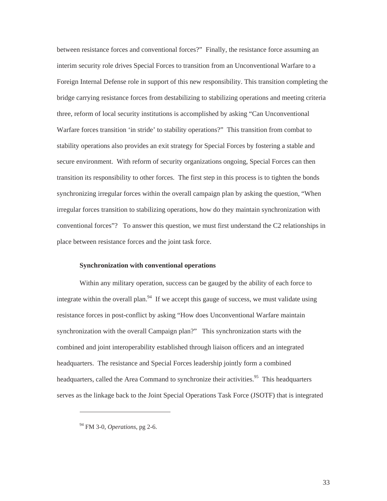<span id="page-39-0"></span>between resistance forces and conventional forces?" Finally, the resistance force assuming an interim security role drives Special Forces to transition from an Unconventional Warfare to a Foreign Internal Defense role in support of this new responsibility. This transition completing the bridge carrying resistance forces from destabilizing to stabilizing operations and meeting criteria three, reform of local security institutions is accomplished by asking "Can Unconventional Warfare forces transition 'in stride' to stability operations?" This transition from combat to stability operations also provides an exit strategy for Special Forces by fostering a stable and secure environment. With reform of security organizations ongoing, Special Forces can then transition its responsibility to other forces. The first step in this process is to tighten the bonds synchronizing irregular forces within the overall campaign plan by asking the question, "When irregular forces transition to stabilizing operations, how do they maintain synchronization with conventional forces"? To answer this question, we must first understand the C2 relationships in place between resistance forces and the joint task force.

#### **Synchronization with conventional operations**

Within any military operation, success can be gauged by the ability of each force to integrate within the overall plan.<sup>94</sup> If we accept this gauge of success, we must validate using resistance forces in post-conflict by asking "How does Unconventional Warfare maintain synchronization with the overall Campaign plan?" This synchronization starts with the combined and joint interoperability established through liaison officers and an integrated headquarters. The resistance and Special Forces leadership jointly form a combined headquarters, called the Area Command to synchronize their activities.<sup>95</sup> This headquarters serves as the linkage back to the Joint Special Operations Task Force (JSOTF) that is integrated

<span id="page-39-2"></span><span id="page-39-1"></span><sup>94</sup> FM 3-0, *Operations*, pg 2-6.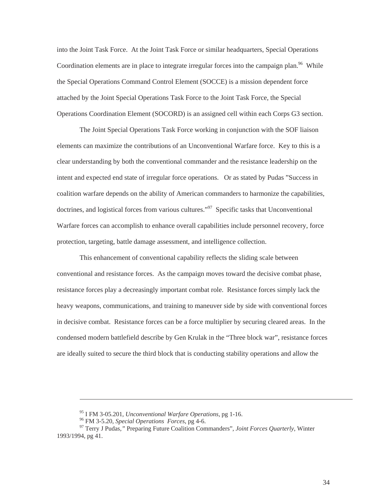into the Joint Task Force. At the Joint Task Force or similar headquarters, Special Operations Coordination elements are in place to integrate irregular forces into the campaign plan.<sup>96</sup> While the Special Operations Command Control Element (SOCCE) is a mission dependent force attached by the Joint Special Operations Task Force to the Joint Task Force, the Special Operations Coordination Element (SOCORD) is an assigned cell within each Corps G3 section.

The Joint Special Operations Task Force working in conjunction with the SOF liaison elements can maximize the contributions of an Unconventional Warfare force. Key to this is a clear understanding by both the conventional commander and the resistance leadership on the intent and expected end state of irregular force operations. Or as stated by Pudas "Success in coalition warfare depends on the ability of American commanders to harmonize the capabilities, doctrines, and logistical forces from various cultures.<sup> $\mathcal{P}^{97}$ </sup> Specific tasks that Unconventional Warfare forces can accomplish to enhance overall capabilities include personnel recovery, force protection, targeting, battle damage assessment, and intelligence collection.

This enhancement of conventional capability reflects the sliding scale between conventional and resistance forces. As the campaign moves toward the decisive combat phase, resistance forces play a decreasingly important combat role. Resistance forces simply lack the heavy weapons, communications, and training to maneuver side by side with conventional forces in decisive combat. Resistance forces can be a force multiplier by securing cleared areas. In the condensed modern battlefield describe by Gen Krulak in the "Three block war", resistance forces are ideally suited to secure the third block that is conducting stability operations and allow the

<span id="page-40-1"></span><span id="page-40-0"></span>

<sup>&</sup>lt;sup>95</sup> I FM 3-05.201, *Unconventional Warfare Operations*, pg 1-16.<br><sup>96</sup> FM 3-5.20, *Special Operations Forces*, pg 4-6.<br><sup>97</sup> Terry J Pudas, " Preparing Future Coalition Commanders", *Joint Forces Quarterly*, Winter 1993/1994, pg 41.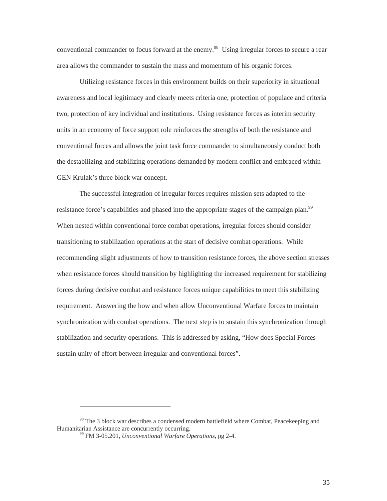conventional commander to focus forward at the enemy.<sup>98</sup> Using irregular forces to secure a rear area allows the commander to sustain the mass and momentum of his organic forces.

Utilizing resistance forces in this environment builds on their superiority in situational awareness and local legitimacy and clearly meets criteria one, protection of populace and criteria two, protection of key individual and institutions. Using resistance forces as interim security units in an economy of force support role reinforces the strengths of both the resistance and conventional forces and allows the joint task force commander to simultaneously conduct both the destabilizing and stabilizing operations demanded by modern conflict and embraced within GEN Krulak's three block war concept.

The successful integration of irregular forces requires mission sets adapted to the resistance force's capabilities and phased into the appropriate stages of the campaign plan.<sup>99</sup> When nested within conventional force combat operations, irregular forces should consider transitioning to stabilization operations at the start of decisive combat operations. While recommending slight adjustments of how to transition resistance forces, the above section stresses when resistance forces should transition by highlighting the increased requirement for stabilizing forces during decisive combat and resistance forces unique capabilities to meet this stabilizing requirement. Answering the how and when allow Unconventional Warfare forces to maintain synchronization with combat operations. The next step is to sustain this synchronization through stabilization and security operations. This is addressed by asking, "How does Special Forces sustain unity of effort between irregular and conventional forces".

 $98$  The 3 block war describes a condensed modern battlefield where Combat, Peacekeeping and Humanitarian Assistance are concurrently occurring.

<span id="page-41-1"></span><span id="page-41-0"></span><sup>&</sup>lt;sup>99</sup> FM 3-05.201, *Unconventional Warfare Operations*, pg 2-4.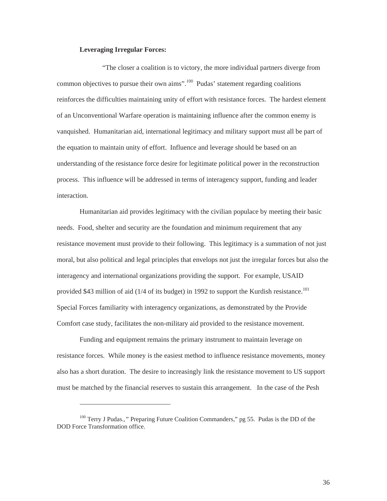#### **Leveraging Irregular Forces:**

<span id="page-42-0"></span>"The closer a coalition is to victory, the more individual partners diverge from common objectives to pursue their own aims".[100](#page-42-1) Pudas' statement regarding coalitions reinforces the difficulties maintaining unity of effort with resistance forces. The hardest element of an Unconventional Warfare operation is maintaining influence after the common enemy is vanquished. Humanitarian aid, international legitimacy and military support must all be part of the equation to maintain unity of effort. Influence and leverage should be based on an understanding of the resistance force desire for legitimate political power in the reconstruction process. This influence will be addressed in terms of interagency support, funding and leader interaction.

Humanitarian aid provides legitimacy with the civilian populace by meeting their basic needs. Food, shelter and security are the foundation and minimum requirement that any resistance movement must provide to their following. This legitimacy is a summation of not just moral, but also political and legal principles that envelops not just the irregular forces but also the interagency and international organizations providing the support. For example, USAID provided \$43 million of aid  $(1/4$  of its budget) in 1992 to support the Kurdish resistance.<sup>101</sup> Special Forces familiarity with interagency organizations, as demonstrated by the Provide Comfort case study, facilitates the non-military aid provided to the resistance movement.

Funding and equipment remains the primary instrument to maintain leverage on resistance forces. While money is the easiest method to influence resistance movements, money also has a short duration. The desire to increasingly link the resistance movement to US support must be matched by the financial reserves to sustain this arrangement. In the case of the Pesh

<span id="page-42-2"></span><span id="page-42-1"></span><sup>100</sup> Terry J Pudas*.,"* Preparing Future Coalition Commanders," pg 55. Pudas is the DD of the DOD Force Transformation office.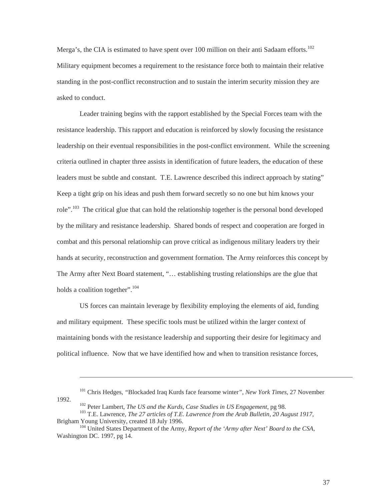Merga's, the CIA is estimated to have spent over 100 million on their anti Sadaam efforts.<sup>102</sup> Military equipment becomes a requirement to the resistance force both to maintain their relative standing in the post-conflict reconstruction and to sustain the interim security mission they are asked to conduct.

Leader training begins with the rapport established by the Special Forces team with the resistance leadership. This rapport and education is reinforced by slowly focusing the resistance leadership on their eventual responsibilities in the post-conflict environment. While the screening criteria outlined in chapter three assists in identification of future leaders, the education of these leaders must be subtle and constant. T.E. Lawrence described this indirect approach by stating" Keep a tight grip on his ideas and push them forward secretly so no one but him knows your role".<sup>103</sup> The critical glue that can hold the relationship together is the personal bond developed by the military and resistance leadership. Shared bonds of respect and cooperation are forged in combat and this personal relationship can prove critical as indigenous military leaders try their hands at security, reconstruction and government formation. The Army reinforces this concept by The Army after Next Board statement, "… establishing trusting relationships are the glue that holds a coalition together".<sup>104</sup>

US forces can maintain leverage by flexibility employing the elements of aid, funding and military equipment. These specific tools must be utilized within the larger context of maintaining bonds with the resistance leadership and supporting their desire for legitimacy and political influence. Now that we have identified how and when to transition resistance forces,

<span id="page-43-2"></span><span id="page-43-1"></span><span id="page-43-0"></span>

<sup>101</sup> Chris Hedges, *"*Blockaded Iraq Kurds face fearsome winter*", New York Times*, 27 November

<sup>1992.&</sup>lt;br><sup>102</sup> Peter Lambert, *The US and the Kurds, Case Studies in US Engagement*, pg 98.<br><sup>103</sup> T.E. Lawrence, *The 27 articles of T.E. Lawrence from the Arab Bulletin, 20 August 1917*,<br>Brigham Young University, created 18

<sup>&</sup>lt;sup>104</sup> United States Department of the Army, *Report of the 'Army after Next' Board to the CSA*, Washington DC. 1997, pg 14.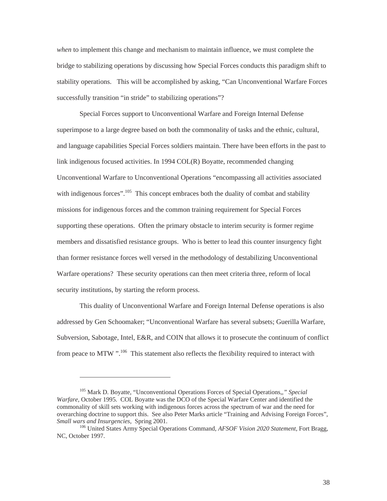*when* to implement this change and mechanism to maintain influence, we must complete the bridge to stabilizing operations by discussing how Special Forces conducts this paradigm shift to stability operations. This will be accomplished by asking, "Can Unconventional Warfare Forces successfully transition "in stride" to stabilizing operations"?

Special Forces support to Unconventional Warfare and Foreign Internal Defense superimpose to a large degree based on both the commonality of tasks and the ethnic, cultural, and language capabilities Special Forces soldiers maintain. There have been efforts in the past to link indigenous focused activities. In 1994 COL(R) Boyatte, recommended changing Unconventional Warfare to Unconventional Operations "encompassing all activities associated with indigenous forces".<sup>105</sup> This concept embraces both the duality of combat and stability missions for indigenous forces and the common training requirement for Special Forces supporting these operations. Often the primary obstacle to interim security is former regime members and dissatisfied resistance groups. Who is better to lead this counter insurgency fight than former resistance forces well versed in the methodology of destabilizing Unconventional Warfare operations? These security operations can then meet criteria three, reform of local security institutions, by starting the reform process.

This duality of Unconventional Warfare and Foreign Internal Defense operations is also addressed by Gen Schoomaker; "Unconventional Warfare has several subsets; Guerilla Warfare, Subversion, Sabotage, Intel, E&R, and COIN that allows it to prosecute the continuum of conflict from peace to MTW".<sup>106</sup> This statement also reflects the flexibility required to interact with

<span id="page-44-0"></span><sup>105</sup> Mark D. Boyatte, "Unconventional Operations Forces of Special Operations,*," Special Warfare*, October 1995. COL Boyatte was the DCO of the Special Warfare Center and identified the commonality of skill sets working with indigenous forces across the spectrum of war and the need for overarching doctrine to support this. See also Peter Marks article "Training and Advising Foreign Forces", *Small wars and Insurgencies,* Spring 2001. 106 United States Army Special Operations Command, *AFSOF Vision 2020 Statement*, Fort Bragg,

<span id="page-44-1"></span>NC, October 1997.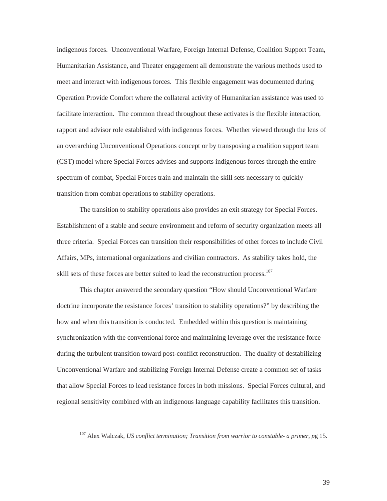indigenous forces. Unconventional Warfare, Foreign Internal Defense, Coalition Support Team, Humanitarian Assistance, and Theater engagement all demonstrate the various methods used to meet and interact with indigenous forces. This flexible engagement was documented during Operation Provide Comfort where the collateral activity of Humanitarian assistance was used to facilitate interaction. The common thread throughout these activates is the flexible interaction, rapport and advisor role established with indigenous forces. Whether viewed through the lens of an overarching Unconventional Operations concept or by transposing a coalition support team (CST) model where Special Forces advises and supports indigenous forces through the entire spectrum of combat, Special Forces train and maintain the skill sets necessary to quickly transition from combat operations to stability operations.

The transition to stability operations also provides an exit strategy for Special Forces. Establishment of a stable and secure environment and reform of security organization meets all three criteria. Special Forces can transition their responsibilities of other forces to include Civil Affairs, MPs, international organizations and civilian contractors. As stability takes hold, the skill sets of these forces are better suited to lead the reconstruction process.<sup>107</sup>

This chapter answered the secondary question "How should Unconventional Warfare doctrine incorporate the resistance forces' transition to stability operations?" by describing the how and when this transition is conducted. Embedded within this question is maintaining synchronization with the conventional force and maintaining leverage over the resistance force during the turbulent transition toward post-conflict reconstruction. The duality of destabilizing Unconventional Warfare and stabilizing Foreign Internal Defense create a common set of tasks that allow Special Forces to lead resistance forces in both missions. Special Forces cultural, and regional sensitivity combined with an indigenous language capability facilitates this transition.

<span id="page-45-0"></span><sup>107</sup> Alex Walczak, *US conflict termination; Transition from warrior to constable- a primer, p*g 15.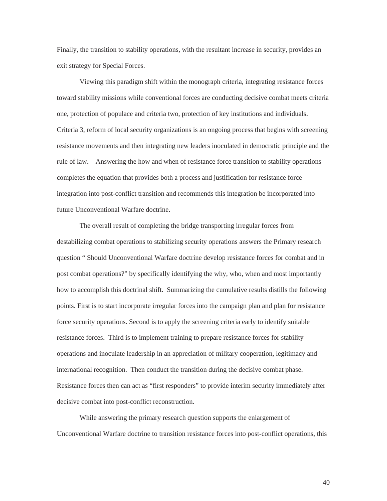Finally, the transition to stability operations, with the resultant increase in security, provides an exit strategy for Special Forces.

Viewing this paradigm shift within the monograph criteria, integrating resistance forces toward stability missions while conventional forces are conducting decisive combat meets criteria one, protection of populace and criteria two, protection of key institutions and individuals. Criteria 3, reform of local security organizations is an ongoing process that begins with screening resistance movements and then integrating new leaders inoculated in democratic principle and the rule of law. Answering the how and when of resistance force transition to stability operations completes the equation that provides both a process and justification for resistance force integration into post-conflict transition and recommends this integration be incorporated into future Unconventional Warfare doctrine.

The overall result of completing the bridge transporting irregular forces from destabilizing combat operations to stabilizing security operations answers the Primary research question " Should Unconventional Warfare doctrine develop resistance forces for combat and in post combat operations?" by specifically identifying the why, who, when and most importantly how to accomplish this doctrinal shift. Summarizing the cumulative results distills the following points. First is to start incorporate irregular forces into the campaign plan and plan for resistance force security operations. Second is to apply the screening criteria early to identify suitable resistance forces. Third is to implement training to prepare resistance forces for stability operations and inoculate leadership in an appreciation of military cooperation, legitimacy and international recognition. Then conduct the transition during the decisive combat phase. Resistance forces then can act as "first responders" to provide interim security immediately after decisive combat into post-conflict reconstruction.

While answering the primary research question supports the enlargement of Unconventional Warfare doctrine to transition resistance forces into post-conflict operations, this

40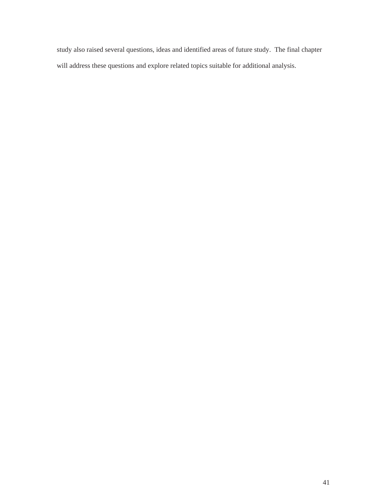study also raised several questions, ideas and identified areas of future study. The final chapter will address these questions and explore related topics suitable for additional analysis.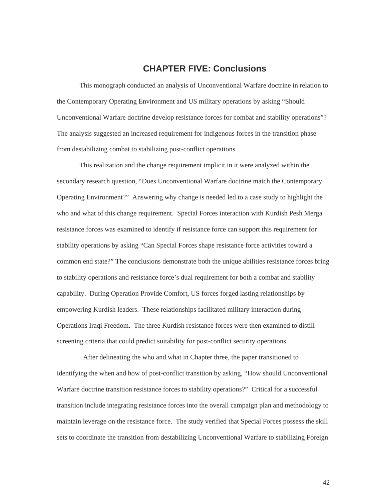# **CHAPTER FIVE: Conclusions**

<span id="page-48-0"></span>This monograph conducted an analysis of Unconventional Warfare doctrine in relation to the Contemporary Operating Environment and US military operations by asking "Should Unconventional Warfare doctrine develop resistance forces for combat and stability operations"? The analysis suggested an increased requirement for indigenous forces in the transition phase from destabilizing combat to stabilizing post-conflict operations.

This realization and the change requirement implicit in it were analyzed within the secondary research question, "Does Unconventional Warfare doctrine match the Contemporary Operating Environment?" Answering why change is needed led to a case study to highlight the who and what of this change requirement. Special Forces interaction with Kurdish Pesh Merga resistance forces was examined to identify if resistance force can support this requirement for stability operations by asking "Can Special Forces shape resistance force activities toward a common end state?" The conclusions demonstrate both the unique abilities resistance forces bring to stability operations and resistance force's dual requirement for both a combat and stability capability. During Operation Provide Comfort, US forces forged lasting relationships by empowering Kurdish leaders. These relationships facilitated military interaction during Operations Iraqi Freedom. The three Kurdish resistance forces were then examined to distill screening criteria that could predict suitability for post-conflict security operations.

 After delineating the who and what in Chapter three, the paper transitioned to identifying the when and how of post-conflict transition by asking, "How should Unconventional Warfare doctrine transition resistance forces to stability operations?" Critical for a successful transition include integrating resistance forces into the overall campaign plan and methodology to maintain leverage on the resistance force. The study verified that Special Forces possess the skill sets to coordinate the transition from destabilizing Unconventional Warfare to stabilizing Foreign

42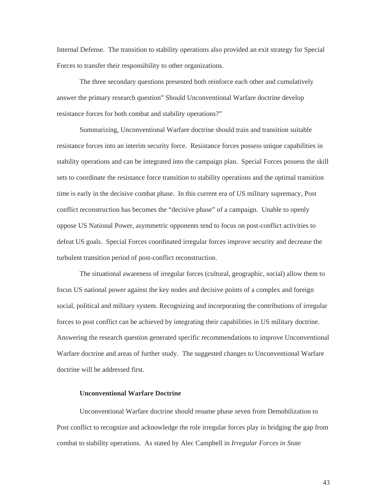<span id="page-49-0"></span>Internal Defense. The transition to stability operations also provided an exit strategy for Special Forces to transfer their responsibility to other organizations.

The three secondary questions presented both reinforce each other and cumulatively answer the primary research question" Should Unconventional Warfare doctrine develop resistance forces for both combat and stability operations?"

Summarizing, Unconventional Warfare doctrine should train and transition suitable resistance forces into an interim security force. Resistance forces possess unique capabilities in stability operations and can be integrated into the campaign plan. Special Forces possess the skill sets to coordinate the resistance force transition to stability operations and the optimal transition time is early in the decisive combat phase. In this current era of US military supremacy, Post conflict reconstruction has becomes the "decisive phase" of a campaign. Unable to openly oppose US National Power, asymmetric opponents tend to focus on post-conflict activities to defeat US goals. Special Forces coordinated irregular forces improve security and decrease the turbulent transition period of post-conflict reconstruction.

The situational awareness of irregular forces (cultural, geographic, social) allow them to focus US national power against the key nodes and decisive points of a complex and foreign social, political and military system. Recognizing and incorporating the contributions of irregular forces to post conflict can be achieved by integrating their capabilities in US military doctrine. Answering the research question generated specific recommendations to improve Unconventional Warfare doctrine and areas of further study. The suggested changes to Unconventional Warfare doctrine will be addressed first.

#### **Unconventional Warfare Doctrine**

Unconventional Warfare doctrine should rename phase seven from Demobilization to Post conflict to recognize and acknowledge the role irregular forces play in bridging the gap from combat to stability operations. As stated by Alec Campbell in *Irregular Forces in State* 

43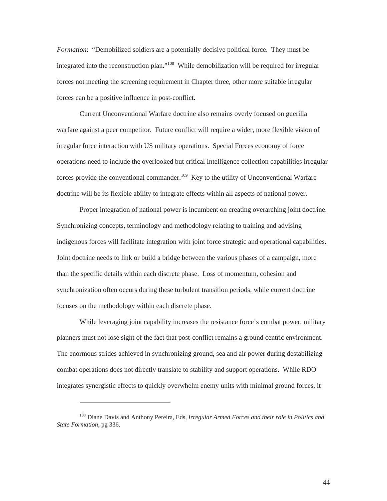*Formation*: "Demobilized soldiers are a potentially decisive political force. They must be integrated into the reconstruction plan."<sup>108</sup> While demobilization will be required for irregular forces not meeting the screening requirement in Chapter three, other more suitable irregular forces can be a positive influence in post-conflict.

Current Unconventional Warfare doctrine also remains overly focused on guerilla warfare against a peer competitor. Future conflict will require a wider, more flexible vision of irregular force interaction with US military operations. Special Forces economy of force operations need to include the overlooked but critical Intelligence collection capabilities irregular forces provide the conventional commander.<sup>109</sup> Key to the utility of Unconventional Warfare doctrine will be its flexible ability to integrate effects within all aspects of national power.

Proper integration of national power is incumbent on creating overarching joint doctrine. Synchronizing concepts, terminology and methodology relating to training and advising indigenous forces will facilitate integration with joint force strategic and operational capabilities. Joint doctrine needs to link or build a bridge between the various phases of a campaign, more than the specific details within each discrete phase. Loss of momentum, cohesion and synchronization often occurs during these turbulent transition periods, while current doctrine focuses on the methodology within each discrete phase.

While leveraging joint capability increases the resistance force's combat power, military planners must not lose sight of the fact that post-conflict remains a ground centric environment. The enormous strides achieved in synchronizing ground, sea and air power during destabilizing combat operations does not directly translate to stability and support operations. While RDO integrates synergistic effects to quickly overwhelm enemy units with minimal ground forces, it

<span id="page-50-1"></span><span id="page-50-0"></span><sup>108</sup> Diane Davis and Anthony Pereira, Eds*, Irregular Armed Forces and their role in Politics and State Formation*, pg 336.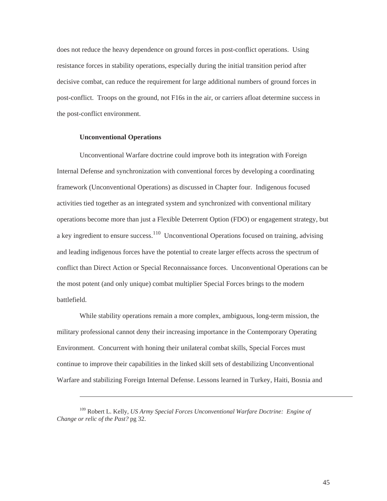<span id="page-51-0"></span>does not reduce the heavy dependence on ground forces in post-conflict operations. Using resistance forces in stability operations, especially during the initial transition period after decisive combat, can reduce the requirement for large additional numbers of ground forces in post-conflict. Troops on the ground, not F16s in the air, or carriers afloat determine success in the post-conflict environment.

#### **Unconventional Operations**

<span id="page-51-1"></span>-

Unconventional Warfare doctrine could improve both its integration with Foreign Internal Defense and synchronization with conventional forces by developing a coordinating framework (Unconventional Operations) as discussed in Chapter four. Indigenous focused activities tied together as an integrated system and synchronized with conventional military operations become more than just a Flexible Deterrent Option (FDO) or engagement strategy, but a key ingredient to ensure success.<sup>110</sup> Unconventional Operations focused on training, advising and leading indigenous forces have the potential to create larger effects across the spectrum of conflict than Direct Action or Special Reconnaissance forces. Unconventional Operations can be the most potent (and only unique) combat multiplier Special Forces brings to the modern battlefield.

While stability operations remain a more complex, ambiguous, long-term mission, the military professional cannot deny their increasing importance in the Contemporary Operating Environment. Concurrent with honing their unilateral combat skills, Special Forces must continue to improve their capabilities in the linked skill sets of destabilizing Unconventional Warfare and stabilizing Foreign Internal Defense. Lessons learned in Turkey, Haiti, Bosnia and

<sup>109</sup> Robert L. Kelly, *US Army Special Forces Unconventional Warfare Doctrine: Engine of Change or relic of the Past?* pg 32.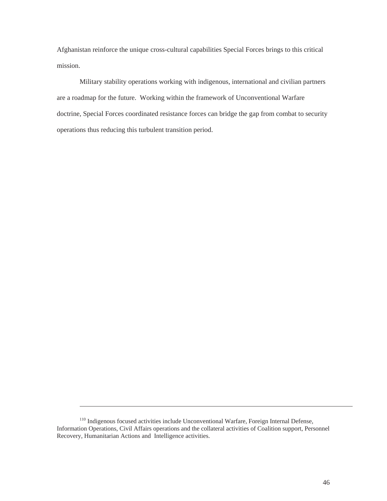Afghanistan reinforce the unique cross-cultural capabilities Special Forces brings to this critical mission.

Military stability operations working with indigenous, international and civilian partners are a roadmap for the future. Working within the framework of Unconventional Warfare doctrine, Special Forces coordinated resistance forces can bridge the gap from combat to security operations thus reducing this turbulent transition period.

<sup>110</sup> Indigenous focused activities include Unconventional Warfare, Foreign Internal Defense, Information Operations, Civil Affairs operations and the collateral activities of Coalition support, Personnel Recovery, Humanitarian Actions and Intelligence activities.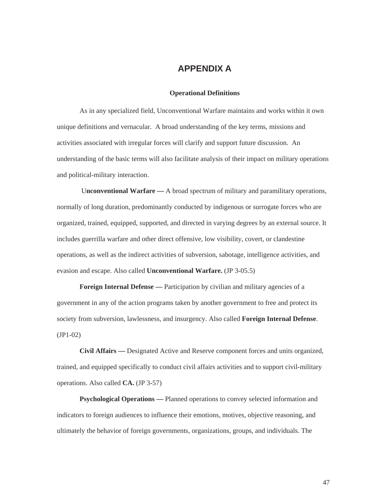# **APPENDIX A**

#### **Operational Definitions**

<span id="page-53-0"></span>As in any specialized field, Unconventional Warfare maintains and works within it own unique definitions and vernacular. A broad understanding of the key terms, missions and activities associated with irregular forces will clarify and support future discussion. An understanding of the basic terms will also facilitate analysis of their impact on military operations and political-military interaction.

 U**nconventional Warfare —** A broad spectrum of military and paramilitary operations, normally of long duration, predominantly conducted by indigenous or surrogate forces who are organized, trained, equipped, supported, and directed in varying degrees by an external source. It includes guerrilla warfare and other direct offensive, low visibility, covert, or clandestine operations, as well as the indirect activities of subversion, sabotage, intelligence activities, and evasion and escape. Also called **Unconventional Warfare.** (JP 3-05.5)

**Foreign Internal Defense** — Participation by civilian and military agencies of a government in any of the action programs taken by another government to free and protect its society from subversion, lawlessness, and insurgency. Also called **Foreign Internal Defense**. (JP1-02)

**Civil Affairs —** Designated Active and Reserve component forces and units organized, trained, and equipped specifically to conduct civil affairs activities and to support civil-military operations. Also called **CA.** (JP 3-57)

**Psychological Operations —** Planned operations to convey selected information and indicators to foreign audiences to influence their emotions, motives, objective reasoning, and ultimately the behavior of foreign governments, organizations, groups, and individuals. The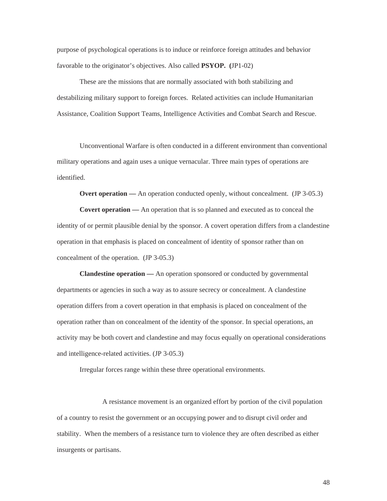purpose of psychological operations is to induce or reinforce foreign attitudes and behavior favorable to the originator's objectives. Also called **PSYOP. (**JP1-02)

These are the missions that are normally associated with both stabilizing and destabilizing military support to foreign forces. Related activities can include Humanitarian Assistance, Coalition Support Teams, Intelligence Activities and Combat Search and Rescue.

Unconventional Warfare is often conducted in a different environment than conventional military operations and again uses a unique vernacular. Three main types of operations are identified.

**Overt operation** — An operation conducted openly, without concealment. (JP 3-05.3)

**Covert operation —** An operation that is so planned and executed as to conceal the identity of or permit plausible denial by the sponsor. A covert operation differs from a clandestine operation in that emphasis is placed on concealment of identity of sponsor rather than on concealment of the operation. (JP 3-05.3)

**Clandestine operation —** An operation sponsored or conducted by governmental departments or agencies in such a way as to assure secrecy or concealment. A clandestine operation differs from a covert operation in that emphasis is placed on concealment of the operation rather than on concealment of the identity of the sponsor. In special operations, an activity may be both covert and clandestine and may focus equally on operational considerations and intelligence-related activities. (JP 3-05.3)

Irregular forces range within these three operational environments.

A resistance movement is an organized effort by portion of the civil population of a country to resist the government or an occupying power and to disrupt civil order and stability. When the members of a resistance turn to violence they are often described as either insurgents or partisans.

48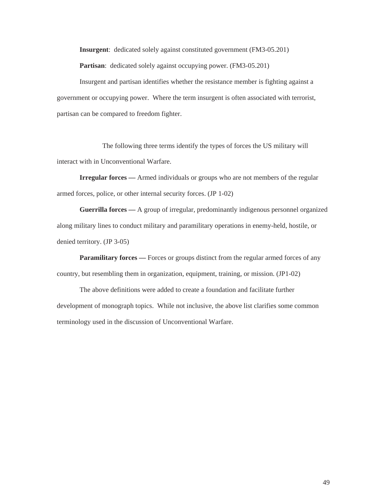**Insurgent**: dedicated solely against constituted government (FM3-05.201) **Partisan**: dedicated solely against occupying power. (FM3-05.201)

Insurgent and partisan identifies whether the resistance member is fighting against a government or occupying power. Where the term insurgent is often associated with terrorist, partisan can be compared to freedom fighter.

The following three terms identify the types of forces the US military will interact with in Unconventional Warfare.

**Irregular forces —** Armed individuals or groups who are not members of the regular armed forces, police, or other internal security forces. (JP 1-02)

**Guerrilla forces —** A group of irregular, predominantly indigenous personnel organized along military lines to conduct military and paramilitary operations in enemy-held, hostile, or denied territory. (JP 3-05)

**Paramilitary forces** — Forces or groups distinct from the regular armed forces of any country, but resembling them in organization, equipment, training, or mission. (JP1-02)

The above definitions were added to create a foundation and facilitate further development of monograph topics. While not inclusive, the above list clarifies some common terminology used in the discussion of Unconventional Warfare.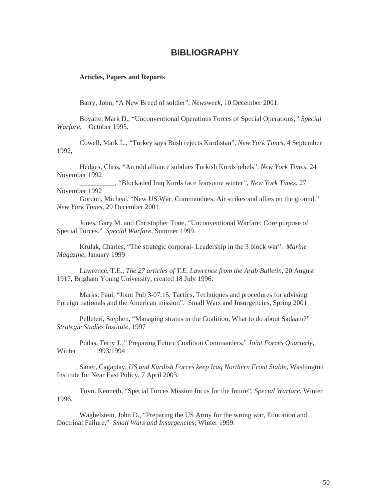# **BIBLIOGRAPHY**

#### <span id="page-56-0"></span>**Articles, Papers and Reports**

Barry, John; "A New Breed of soldier", *Newsweek,* 10 December 2001.

Boyatte, Mark D., "Unconventional Operations Forces of Special Operations*," Special Warfare*, October 1995.

Cowell, Mark L., "Turkey says Bush rejects Kurdistan", *New York Times*, 4 September 1992,

Hedges, Chris, "An odd alliance subdues Turkish Kurds rebels", *New York Times*, 24 November 1992

\_\_\_\_\_\_\_\_\_\_, *"*Blockaded Iraq Kurds face fearsome winter*", New York Times*, 27 November 1992

Gordon, Micheal, "New US War: Commandoes, Air strikes and allies on the ground." *New York Times,* 29 December 2001

Jones, Gary M. and Christopher Tone, "Unconventional Warfare: Core purpose of Special Forces." *Special Warfare*, Summer 1999.

Krulak, Charles, "The strategic corporal- Leadership in the 3 block war". *Marine Magazine*, January 1999

Lawrence, T.E., *The 27 articles of T.E. Lawrence from the Arab Bulletin*, 20 August 1917, Brigham Young University*,* created 18 July 1996.

Marks, Paul, "Joint Pub 3-07.15, Tactics, Techniques and procedures for advising Foreign nationals and the American mission". Small Wars and Insurgencies, Spring 2001

Pelleteri, Stephen, "Managing strains in the Coalition, What to do about Sadaam?" *Strategic Studies Institute*, 1997

Pudas, Terry J*.,"* Preparing Future Coalition Commanders," *Joint Forces Quarterly*, Winter 1993/1994

Saner, Cagaptay, *US and Kurdish Forces keep Iraq Northern Front Stable*, Washington Institute for Near East Policy, 7 April 2003.

Tovo, Kenneth, "Special Forces Mission focus for the future", *Special Warfare*, Winter 1996.

Waghelstein, John D., "Preparing the US Army for the wrong war, Education and Doctrinal Failure," *Small Wars and Insurgencies*; Winter 1999.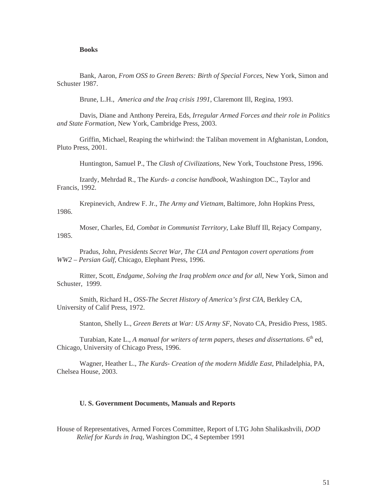#### **Books**

<span id="page-57-0"></span>Bank, Aaron, *From OSS to Green Berets: Birth of Special Forces*, New York, Simon and Schuster 1987.

Brune, L.H., *America and the Iraq crisis 1991*, Claremont Ill, Regina, 1993.

Davis, Diane and Anthony Pereira, Eds, *Irregular Armed Forces and their role in Politics and State Formation*, New York, Cambridge Press, 2003.

Griffin, Michael, Reaping the whirlwind: the Taliban movement in Afghanistan, London, Pluto Press, 2001.

Huntington, Samuel P., The *Clash of Civilizations*, New York, Touchstone Press, 1996.

Izardy, Mehrdad R., The *Kurds- a concise handbook*, Washington DC., Taylor and Francis, 1992.

Krepinevich, Andrew F. Jr., *The Army and Vietnam*, Baltimore, John Hopkins Press, 1986.

Moser, Charles, Ed, *Combat in Communist Territory*, Lake Bluff Ill, Rejacy Company, 1985.

Pradus, John, *Presidents Secret War, The CIA and Pentagon covert operations from WW2 – Persian Gulf,* Chicago, Elephant Press, 1996.

Ritter, Scott, *Endgame, Solving the Iraq problem once and for all*, New York, Simon and Schuster, 1999.

Smith, Richard H., *OSS-The Secret History of America's first CIA*, Berkley CA, University of Calif Press, 1972.

Stanton, Shelly L., *Green Berets at War: US Army SF*, Novato CA, Presidio Press, 1985.

Turabian, Kate L., *A manual for writers of term papers, theses and dissertations*. 6<sup>th</sup> ed, Chicago, University of Chicago Press, 1996.

Wagner, Heather L., *The Kurds- Creation of the modern Middle East*, Philadelphia, PA, Chelsea House, 2003.

#### **U. S. Government Documents, Manuals and Reports**

House of Representatives, Armed Forces Committee, Report of LTG John Shalikashvili, *DOD Relief for Kurds in Iraq,* Washington DC, 4 September 1991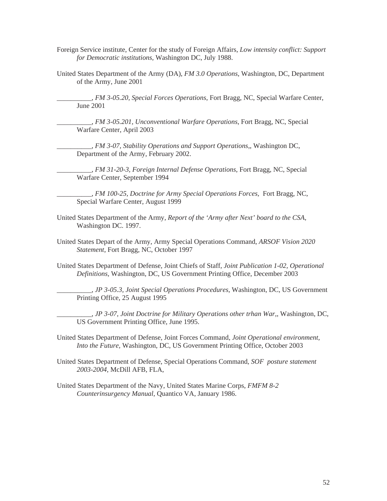- Foreign Service institute, Center for the study of Foreign Affairs, *Low intensity conflict: Support for Democratic institutions,* Washington DC, July 1988.
- United States Department of the Army (DA), *FM 3.0 Operations*, Washington, DC, Department of the Army, June 2001

\_\_\_\_\_\_\_\_\_\_, *FM 3-05.20, Special Forces Operations*, Fort Bragg, NC, Special Warfare Center, June 2001

\_\_\_\_\_\_\_\_\_\_, *FM 3-05.201, Unconventional Warfare Operations*, Fort Bragg, NC, Special Warfare Center, April 2003

\_\_\_\_\_\_\_\_\_\_, *FM 3-07, Stability Operations and Support Operations,*, Washington DC, Department of the Army, February 2002.

\_\_\_\_\_\_\_\_\_\_, *FM 31-20-3, Foreign Internal Defense Operations*, Fort Bragg, NC, Special Warfare Center, September 1994

\_\_\_\_\_\_\_\_\_\_, *FM 100-25, Doctrine for Army Special Operations Forces,* Fort Bragg, NC, Special Warfare Center, August 1999

- United States Department of the Army, *Report of the 'Army after Next' board to the CSA,* Washington DC. 1997.
- United States Depart of the Army, Army Special Operations Command, *ARSOF Vision 2020 Statement*, Fort Bragg, NC, October 1997
- United States Department of Defense, Joint Chiefs of Staff, *Joint Publication 1-02, Operational Definitions,* Washington, DC, US Government Printing Office, December 2003

\_\_\_\_\_\_\_\_\_\_, *JP 3-05.3, Joint Special Operations Procedures*, Washington, DC, US Government Printing Office, 25 August 1995

\_\_\_\_\_\_\_\_\_\_, *JP 3-07, Joint Doctrine for Military Operations other trhan War,*, Washington, DC, US Government Printing Office, June 1995.

United States Department of Defense, Joint Forces Command, *Joint Operational environment, Into the Future,* Washington, DC, US Government Printing Office, October 2003

- United States Department of Defense, Special Operations Command*, SOF posture statement 2003-2004,* McDill AFB, FLA,
- United States Department of the Navy, United States Marine Corps, *FMFM 8-2 Counterinsurgency Manual*, Quantico VA, January 1986.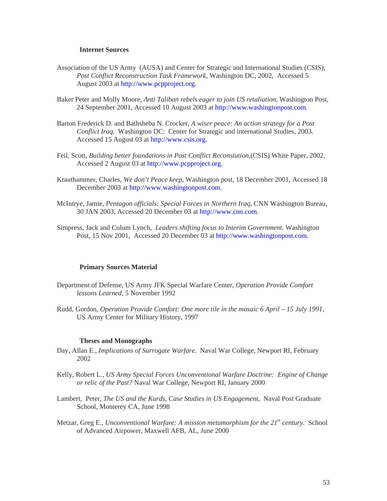#### **Internet Sources**

- <span id="page-59-0"></span>Association of the US Army (AUSA) and Center for Strategic and International Studies (CSIS), *Post Conflict Reconstruction Task Framework*, Washington DC, 2002, Accessed 5 August 2003 at [http://www.pcpproject.org](http://www.pcpproject.org/).
- Baker Peter and Molly Moore, *Anti Taliban rebels eager to join US retaliation,* Washington Post, 24 September 2001, Accessed 10 August 2003 at [http://www.washingtonpost.com](http://www.washingtonpost.com/).
- Barton Frederick D. and Bathsheba N. Crocker, *A wiser peace: An action strategy for a Post Conflict Iraq.* Washington DC: Center for Strategic and international Studies, 2003. Accessed 15 August 03 at [http://www.csis.org](http://www.csis.ogr/).
- Feil, Scott, *Building better foundations in Post Conflict Reconstution,*(CSIS) White Paper, 2002. Accessed 2 August 03 at [http://www.pcpproject.org.](http://www.pcpproject.org/)
- Krauthammer, Charles, *We don't Peace keep*, Washington post, 18 December 2001, Accessed 18 December 2003 at [http://www.washingtonpost.com.](http://www.washingtonpost.com/)
- McIntrye, Jamie, *Pentagon officials: Special Forces in Northern Iraq,* CNN Washington Bureau, 30 JAN 2003, Accessed 20 December 03 at [http://www.cnn.com.](http://www.cnn.com/)
- Simpress, Jack and Colum Lynch, *Leaders shifting focus to Interim Government*. Washington Post, 15 Nov 2001, Accessed 20 December 03 at [http://www.washingtonpost.com.](http://www.washington/)

#### **Primary Sources Material**

- Department of Defense, US Army JFK Special Warfare Center, *Operation Provide Comfort lessons Learned*, 5 November 1992
- Rudd, Gordon, *Operation Provide Comfort: One more tile in the mosaic 6 April 15 July 1991,*  US Army Center for Military History, 1997

#### **Theses and Monographs**

- Day, Allan E., *Implications of Surrogate Warfare*. Naval War College, Newport RI, February 2002
- Kelly, Robert L., *US Army Special Forces Unconventional Warfare Doctrine: Engine of Change or relic of the Past?* Naval War College, Newport RI, January 2000
- Lambert, Peter, *The US and the Kurds, Case Studies in US Engagement*, Naval Post Graduate School, Monterey CA, June 1998
- Metzar, Greg E., *Unconventional Warfare: A mission metamorphism for the 21<sup>st</sup> century.* School of Advanced Airpower, Maxwell AFB, AL, June 2000